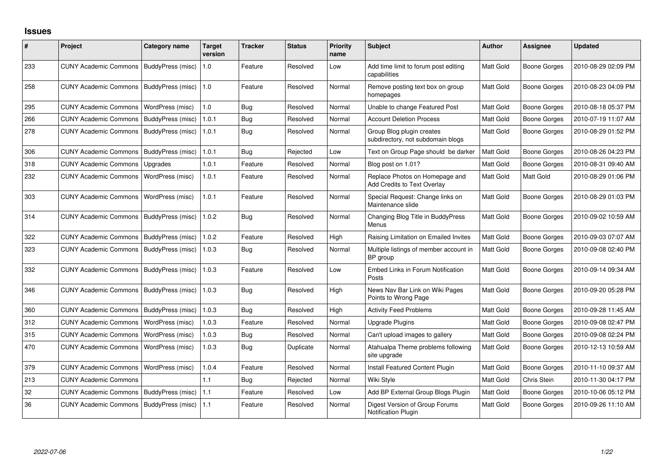## **Issues**

| #   | Project                      | Category name     | Target<br>version | <b>Tracker</b> | <b>Status</b> | <b>Priority</b><br>name | Subject                                                              | Author    | <b>Assignee</b>     | <b>Updated</b>      |
|-----|------------------------------|-------------------|-------------------|----------------|---------------|-------------------------|----------------------------------------------------------------------|-----------|---------------------|---------------------|
| 233 | <b>CUNY Academic Commons</b> | BuddyPress (misc) | 1.0               | Feature        | Resolved      | Low                     | Add time limit to forum post editing<br>capabilities                 | Matt Gold | <b>Boone Gorges</b> | 2010-08-29 02:09 PM |
| 258 | <b>CUNY Academic Commons</b> | BuddyPress (misc) | 1.0               | Feature        | Resolved      | Normal                  | Remove posting text box on group<br>homepages                        | Matt Gold | <b>Boone Gorges</b> | 2010-08-23 04:09 PM |
| 295 | <b>CUNY Academic Commons</b> | WordPress (misc)  | 1.0               | <b>Bug</b>     | Resolved      | Normal                  | Unable to change Featured Post                                       | Matt Gold | <b>Boone Gorges</b> | 2010-08-18 05:37 PM |
| 266 | <b>CUNY Academic Commons</b> | BuddyPress (misc) | 1.0.1             | Bug            | Resolved      | Normal                  | <b>Account Deletion Process</b>                                      | Matt Gold | <b>Boone Gorges</b> | 2010-07-19 11:07 AM |
| 278 | <b>CUNY Academic Commons</b> | BuddyPress (misc) | 1.0.1             | Bug            | Resolved      | Normal                  | Group Blog plugin creates<br>subdirectory, not subdomain blogs       | Matt Gold | <b>Boone Gorges</b> | 2010-08-29 01:52 PM |
| 306 | <b>CUNY Academic Commons</b> | BuddyPress (misc) | 1.0.1             | Bug            | Rejected      | Low                     | Text on Group Page should be darker                                  | Matt Gold | <b>Boone Gorges</b> | 2010-08-26 04:23 PM |
| 318 | <b>CUNY Academic Commons</b> | Upgrades          | 1.0.1             | Feature        | Resolved      | Normal                  | Blog post on 1.01?                                                   | Matt Gold | Boone Gorges        | 2010-08-31 09:40 AM |
| 232 | <b>CUNY Academic Commons</b> | WordPress (misc)  | 1.0.1             | Feature        | Resolved      | Normal                  | Replace Photos on Homepage and<br><b>Add Credits to Text Overlay</b> | Matt Gold | Matt Gold           | 2010-08-29 01:06 PM |
| 303 | <b>CUNY Academic Commons</b> | WordPress (misc)  | 1.0.1             | Feature        | Resolved      | Normal                  | Special Request: Change links on<br>Maintenance slide                | Matt Gold | <b>Boone Gorges</b> | 2010-08-29 01:03 PM |
| 314 | <b>CUNY Academic Commons</b> | BuddyPress (misc) | 1.0.2             | Bug            | Resolved      | Normal                  | Changing Blog Title in BuddyPress<br>Menus                           | Matt Gold | <b>Boone Gorges</b> | 2010-09-02 10:59 AM |
| 322 | <b>CUNY Academic Commons</b> | BuddyPress (misc) | 1.0.2             | Feature        | Resolved      | High                    | Raising Limitation on Emailed Invites                                | Matt Gold | <b>Boone Gorges</b> | 2010-09-03 07:07 AM |
| 323 | <b>CUNY Academic Commons</b> | BuddyPress (misc) | 1.0.3             | Bug            | Resolved      | Normal                  | Multiple listings of member account in<br>BP group                   | Matt Gold | <b>Boone Gorges</b> | 2010-09-08 02:40 PM |
| 332 | <b>CUNY Academic Commons</b> | BuddyPress (misc) | 1.0.3             | Feature        | Resolved      | Low                     | Embed Links in Forum Notification<br>Posts                           | Matt Gold | <b>Boone Gorges</b> | 2010-09-14 09:34 AM |
| 346 | <b>CUNY Academic Commons</b> | BuddyPress (misc) | 1.0.3             | Bug            | Resolved      | High                    | News Nav Bar Link on Wiki Pages<br>Points to Wrong Page              | Matt Gold | <b>Boone Gorges</b> | 2010-09-20 05:28 PM |
| 360 | <b>CUNY Academic Commons</b> | BuddyPress (misc) | 1.0.3             | Bug            | Resolved      | High                    | <b>Activity Feed Problems</b>                                        | Matt Gold | <b>Boone Gorges</b> | 2010-09-28 11:45 AM |
| 312 | <b>CUNY Academic Commons</b> | WordPress (misc)  | 1.0.3             | Feature        | Resolved      | Normal                  | Upgrade Plugins                                                      | Matt Gold | <b>Boone Gorges</b> | 2010-09-08 02:47 PM |
| 315 | <b>CUNY Academic Commons</b> | WordPress (misc)  | 1.0.3             | Bug            | Resolved      | Normal                  | Can't upload images to gallery                                       | Matt Gold | <b>Boone Gorges</b> | 2010-09-08 02:24 PM |
| 470 | <b>CUNY Academic Commons</b> | WordPress (misc)  | 1.0.3             | Bug            | Duplicate     | Normal                  | Atahualpa Theme problems following<br>site upgrade                   | Matt Gold | <b>Boone Gorges</b> | 2010-12-13 10:59 AM |
| 379 | <b>CUNY Academic Commons</b> | WordPress (misc)  | 1.0.4             | Feature        | Resolved      | Normal                  | Install Featured Content Plugin                                      | Matt Gold | <b>Boone Gorges</b> | 2010-11-10 09:37 AM |
| 213 | <b>CUNY Academic Commons</b> |                   | 1.1               | Bug            | Rejected      | Normal                  | Wiki Style                                                           | Matt Gold | Chris Stein         | 2010-11-30 04:17 PM |
| 32  | <b>CUNY Academic Commons</b> | BuddyPress (misc) | 1.1               | Feature        | Resolved      | Low                     | Add BP External Group Blogs Plugin                                   | Matt Gold | <b>Boone Gorges</b> | 2010-10-06 05:12 PM |
| 36  | <b>CUNY Academic Commons</b> | BuddyPress (misc) | 1.1               | Feature        | Resolved      | Normal                  | Digest Version of Group Forums<br><b>Notification Plugin</b>         | Matt Gold | Boone Gorges        | 2010-09-26 11:10 AM |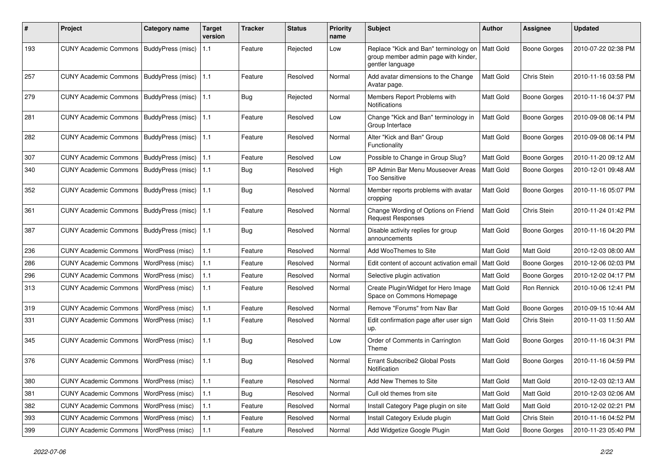| #   | Project                                   | <b>Category name</b> | <b>Target</b><br>version | Tracker    | <b>Status</b> | <b>Priority</b><br>name | <b>Subject</b>                                                                                    | Author           | Assignee            | <b>Updated</b>      |
|-----|-------------------------------------------|----------------------|--------------------------|------------|---------------|-------------------------|---------------------------------------------------------------------------------------------------|------------------|---------------------|---------------------|
| 193 | CUNY Academic Commons   BuddyPress (misc) |                      | 1.1                      | Feature    | Rejected      | Low                     | Replace "Kick and Ban" terminology on<br>group member admin page with kinder,<br>gentler language | Matt Gold        | <b>Boone Gorges</b> | 2010-07-22 02:38 PM |
| 257 | <b>CUNY Academic Commons</b>              | BuddyPress (misc)    | 1.1                      | Feature    | Resolved      | Normal                  | Add avatar dimensions to the Change<br>Avatar page.                                               | Matt Gold        | Chris Stein         | 2010-11-16 03:58 PM |
| 279 | <b>CUNY Academic Commons</b>              | BuddyPress (misc)    | 1.1                      | Bug        | Rejected      | Normal                  | Members Report Problems with<br>Notifications                                                     | Matt Gold        | Boone Gorges        | 2010-11-16 04:37 PM |
| 281 | <b>CUNY Academic Commons</b>              | BuddyPress (misc)    | 1.1                      | Feature    | Resolved      | Low                     | Change "Kick and Ban" terminology in<br>Group Interface                                           | Matt Gold        | <b>Boone Gorges</b> | 2010-09-08 06:14 PM |
| 282 | <b>CUNY Academic Commons</b>              | BuddyPress (misc)    | 1.1                      | Feature    | Resolved      | Normal                  | Alter "Kick and Ban" Group<br>Functionality                                                       | <b>Matt Gold</b> | <b>Boone Gorges</b> | 2010-09-08 06:14 PM |
| 307 | <b>CUNY Academic Commons</b>              | BuddyPress (misc)    | 1.1                      | Feature    | Resolved      | Low                     | Possible to Change in Group Slug?                                                                 | <b>Matt Gold</b> | <b>Boone Gorges</b> | 2010-11-20 09:12 AM |
| 340 | <b>CUNY Academic Commons</b>              | BuddyPress (misc)    | 1.1                      | <b>Bug</b> | Resolved      | High                    | BP Admin Bar Menu Mouseover Areas<br><b>Too Sensitive</b>                                         | Matt Gold        | Boone Gorges        | 2010-12-01 09:48 AM |
| 352 | <b>CUNY Academic Commons</b>              | BuddyPress (misc)    | 1.1                      | <b>Bug</b> | Resolved      | Normal                  | Member reports problems with avatar<br>cropping                                                   | Matt Gold        | <b>Boone Gorges</b> | 2010-11-16 05:07 PM |
| 361 | <b>CUNY Academic Commons</b>              | BuddyPress (misc)    | 1.1                      | Feature    | Resolved      | Normal                  | Change Wording of Options on Friend<br><b>Request Responses</b>                                   | Matt Gold        | Chris Stein         | 2010-11-24 01:42 PM |
| 387 | <b>CUNY Academic Commons</b>              | BuddyPress (misc)    | 1.1                      | <b>Bug</b> | Resolved      | Normal                  | Disable activity replies for group<br>announcements                                               | Matt Gold        | Boone Gorges        | 2010-11-16 04:20 PM |
| 236 | <b>CUNY Academic Commons</b>              | WordPress (misc)     | 1.1                      | Feature    | Resolved      | Normal                  | Add WooThemes to Site                                                                             | Matt Gold        | Matt Gold           | 2010-12-03 08:00 AM |
| 286 | <b>CUNY Academic Commons</b>              | WordPress (misc)     | 1.1                      | Feature    | Resolved      | Normal                  | Edit content of account activation email                                                          | Matt Gold        | Boone Gorges        | 2010-12-06 02:03 PM |
| 296 | <b>CUNY Academic Commons</b>              | WordPress (misc)     | 1.1                      | Feature    | Resolved      | Normal                  | Selective plugin activation                                                                       | Matt Gold        | Boone Gorges        | 2010-12-02 04:17 PM |
| 313 | <b>CUNY Academic Commons</b>              | WordPress (misc)     | 1.1                      | Feature    | Resolved      | Normal                  | Create Plugin/Widget for Hero Image<br>Space on Commons Homepage                                  | Matt Gold        | Ron Rennick         | 2010-10-06 12:41 PM |
| 319 | <b>CUNY Academic Commons</b>              | WordPress (misc)     | 1.1                      | Feature    | Resolved      | Normal                  | Remove "Forums" from Nav Bar                                                                      | Matt Gold        | <b>Boone Gorges</b> | 2010-09-15 10:44 AM |
| 331 | <b>CUNY Academic Commons</b>              | WordPress (misc)     | 1.1                      | Feature    | Resolved      | Normal                  | Edit confirmation page after user sign<br>up.                                                     | Matt Gold        | Chris Stein         | 2010-11-03 11:50 AM |
| 345 | <b>CUNY Academic Commons</b>              | WordPress (misc)     | 1.1                      | <b>Bug</b> | Resolved      | Low                     | Order of Comments in Carrington<br>Theme                                                          | Matt Gold        | Boone Gorges        | 2010-11-16 04:31 PM |
| 376 | <b>CUNY Academic Commons</b>              | WordPress (misc)     | 1.1                      | <b>Bug</b> | Resolved      | Normal                  | Errant Subscribe2 Global Posts<br>Notification                                                    | <b>Matt Gold</b> | Boone Gorges        | 2010-11-16 04:59 PM |
| 380 | CUNY Academic Commons   WordPress (misc)  |                      | 1.1                      | Feature    | Resolved      | Normal                  | Add New Themes to Site                                                                            | Matt Gold        | Matt Gold           | 2010-12-03 02:13 AM |
| 381 | <b>CUNY Academic Commons</b>              | WordPress (misc)     | $1.1$                    | Bug        | Resolved      | Normal                  | Cull old themes from site                                                                         | Matt Gold        | Matt Gold           | 2010-12-03 02:06 AM |
| 382 | <b>CUNY Academic Commons</b>              | WordPress (misc)     | 1.1                      | Feature    | Resolved      | Normal                  | Install Category Page plugin on site                                                              | <b>Matt Gold</b> | Matt Gold           | 2010-12-02 02:21 PM |
| 393 | CUNY Academic Commons                     | WordPress (misc)     | $1.1$                    | Feature    | Resolved      | Normal                  | Install Category Exlude plugin                                                                    | Matt Gold        | Chris Stein         | 2010-11-16 04:52 PM |
| 399 | <b>CUNY Academic Commons</b>              | WordPress (misc)     | 1.1                      | Feature    | Resolved      | Normal                  | Add Widgetize Google Plugin                                                                       | Matt Gold        | <b>Boone Gorges</b> | 2010-11-23 05:40 PM |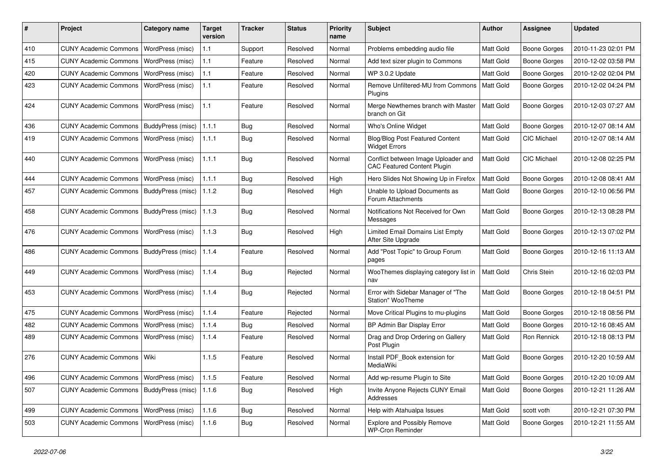| #   | Project                                   | Category name           | <b>Target</b><br>version | <b>Tracker</b> | <b>Status</b> | <b>Priority</b><br>name | <b>Subject</b>                                                            | <b>Author</b>    | Assignee            | <b>Updated</b>      |
|-----|-------------------------------------------|-------------------------|--------------------------|----------------|---------------|-------------------------|---------------------------------------------------------------------------|------------------|---------------------|---------------------|
| 410 | <b>CUNY Academic Commons</b>              | WordPress (misc)        | 1.1                      | Support        | Resolved      | Normal                  | Problems embedding audio file                                             | Matt Gold        | <b>Boone Gorges</b> | 2010-11-23 02:01 PM |
| 415 | <b>CUNY Academic Commons</b>              | WordPress (misc)        | 1.1                      | Feature        | Resolved      | Normal                  | Add text sizer plugin to Commons                                          | Matt Gold        | <b>Boone Gorges</b> | 2010-12-02 03:58 PM |
| 420 | <b>CUNY Academic Commons</b>              | WordPress (misc)        | 1.1                      | Feature        | Resolved      | Normal                  | WP 3.0.2 Update                                                           | Matt Gold        | <b>Boone Gorges</b> | 2010-12-02 02:04 PM |
| 423 | <b>CUNY Academic Commons</b>              | WordPress (misc)        | 1.1                      | Feature        | Resolved      | Normal                  | Remove Unfiltered-MU from Commons<br>Plugins                              | <b>Matt Gold</b> | <b>Boone Gorges</b> | 2010-12-02 04:24 PM |
| 424 | <b>CUNY Academic Commons</b>              | WordPress (misc)        | 1.1                      | Feature        | Resolved      | Normal                  | Merge Newthemes branch with Master<br>branch on Git                       | Matt Gold        | <b>Boone Gorges</b> | 2010-12-03 07:27 AM |
| 436 | <b>CUNY Academic Commons</b>              | BuddyPress (misc)       | 1.1.1                    | Bug            | Resolved      | Normal                  | Who's Online Widget                                                       | Matt Gold        | <b>Boone Gorges</b> | 2010-12-07 08:14 AM |
| 419 | <b>CUNY Academic Commons</b>              | <b>WordPress (misc)</b> | 1.1.1                    | <b>Bug</b>     | Resolved      | Normal                  | <b>Blog/Blog Post Featured Content</b><br><b>Widget Errors</b>            | Matt Gold        | <b>CIC Michael</b>  | 2010-12-07 08:14 AM |
| 440 | <b>CUNY Academic Commons</b>              | WordPress (misc)        | 1.1.1                    | <b>Bug</b>     | Resolved      | Normal                  | Conflict between Image Uploader and<br><b>CAC Featured Content Plugin</b> | Matt Gold        | <b>CIC Michael</b>  | 2010-12-08 02:25 PM |
| 444 | <b>CUNY Academic Commons</b>              | WordPress (misc)        | 1.1.1                    | <b>Bug</b>     | Resolved      | High                    | Hero Slides Not Showing Up in Firefox                                     | Matt Gold        | <b>Boone Gorges</b> | 2010-12-08 08:41 AM |
| 457 | <b>CUNY Academic Commons</b>              | BuddyPress (misc)       | 1.1.2                    | <b>Bug</b>     | Resolved      | High                    | Unable to Upload Documents as<br>Forum Attachments                        | Matt Gold        | <b>Boone Gorges</b> | 2010-12-10 06:56 PM |
| 458 | <b>CUNY Academic Commons</b>              | BuddyPress (misc)       | 1.1.3                    | <b>Bug</b>     | Resolved      | Normal                  | Notifications Not Received for Own<br>Messages                            | Matt Gold        | <b>Boone Gorges</b> | 2010-12-13 08:28 PM |
| 476 | <b>CUNY Academic Commons</b>              | WordPress (misc)        | 1.1.3                    | Bug            | Resolved      | High                    | <b>Limited Email Domains List Empty</b><br>After Site Upgrade             | Matt Gold        | <b>Boone Gorges</b> | 2010-12-13 07:02 PM |
| 486 | <b>CUNY Academic Commons</b>              | BuddyPress (misc)       | 1.1.4                    | Feature        | Resolved      | Normal                  | Add "Post Topic" to Group Forum<br>pages                                  | Matt Gold        | <b>Boone Gorges</b> | 2010-12-16 11:13 AM |
| 449 | <b>CUNY Academic Commons</b>              | WordPress (misc)        | 1.1.4                    | <b>Bug</b>     | Rejected      | Normal                  | WooThemes displaying category list in<br>nav                              | Matt Gold        | Chris Stein         | 2010-12-16 02:03 PM |
| 453 | <b>CUNY Academic Commons</b>              | WordPress (misc)        | 1.1.4                    | Bug            | Rejected      | Normal                  | Error with Sidebar Manager of "The<br>Station" WooTheme                   | Matt Gold        | <b>Boone Gorges</b> | 2010-12-18 04:51 PM |
| 475 | <b>CUNY Academic Commons</b>              | WordPress (misc)        | 1.1.4                    | Feature        | Rejected      | Normal                  | Move Critical Plugins to mu-plugins                                       | Matt Gold        | <b>Boone Gorges</b> | 2010-12-18 08:56 PM |
| 482 | <b>CUNY Academic Commons</b>              | WordPress (misc)        | 1.1.4                    | <b>Bug</b>     | Resolved      | Normal                  | BP Admin Bar Display Error                                                | Matt Gold        | <b>Boone Gorges</b> | 2010-12-16 08:45 AM |
| 489 | <b>CUNY Academic Commons</b>              | WordPress (misc)        | 1.1.4                    | Feature        | Resolved      | Normal                  | Drag and Drop Ordering on Gallery<br>Post Plugin                          | Matt Gold        | Ron Rennick         | 2010-12-18 08:13 PM |
| 276 | <b>CUNY Academic Commons</b>              | Wiki                    | 1.1.5                    | Feature        | Resolved      | Normal                  | Install PDF_Book extension for<br>MediaWiki                               | Matt Gold        | <b>Boone Gorges</b> | 2010-12-20 10:59 AM |
| 496 | CUNY Academic Commons   WordPress (misc)  |                         | 1.1.5                    | Feature        | Resolved      | Normal                  | Add wp-resume Plugin to Site                                              | Matt Gold        | <b>Boone Gorges</b> | 2010-12-20 10:09 AM |
| 507 | CUNY Academic Commons   BuddyPress (misc) |                         | 1.1.6                    | Bug            | Resolved      | High                    | Invite Anyone Rejects CUNY Email<br>Addresses                             | Matt Gold        | <b>Boone Gorges</b> | 2010-12-21 11:26 AM |
| 499 | CUNY Academic Commons   WordPress (misc)  |                         | 1.1.6                    | <b>Bug</b>     | Resolved      | Normal                  | Help with Atahualpa Issues                                                | Matt Gold        | scott voth          | 2010-12-21 07:30 PM |
| 503 | CUNY Academic Commons   WordPress (misc)  |                         | 1.1.6                    | <b>Bug</b>     | Resolved      | Normal                  | <b>Explore and Possibly Remove</b><br><b>WP-Cron Reminder</b>             | Matt Gold        | Boone Gorges        | 2010-12-21 11:55 AM |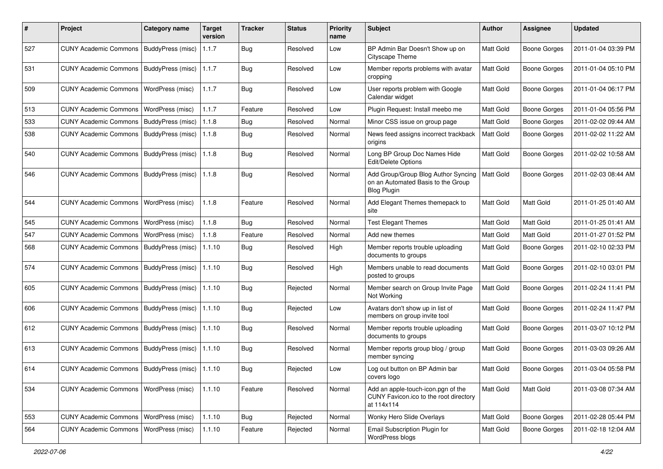| #   | Project                                            | <b>Category name</b>     | <b>Target</b><br>version | <b>Tracker</b> | <b>Status</b> | <b>Priority</b><br>name | Subject                                                                                         | Author    | <b>Assignee</b>     | <b>Updated</b>      |
|-----|----------------------------------------------------|--------------------------|--------------------------|----------------|---------------|-------------------------|-------------------------------------------------------------------------------------------------|-----------|---------------------|---------------------|
| 527 | CUNY Academic Commons   BuddyPress (misc)          |                          | 1.1.7                    | Bug            | Resolved      | Low                     | BP Admin Bar Doesn't Show up on<br>Cityscape Theme                                              | Matt Gold | <b>Boone Gorges</b> | 2011-01-04 03:39 PM |
| 531 | CUNY Academic Commons   BuddyPress (misc)          |                          | 1.1.7                    | Bug            | Resolved      | Low                     | Member reports problems with avatar<br>cropping                                                 | Matt Gold | <b>Boone Gorges</b> | 2011-01-04 05:10 PM |
| 509 | <b>CUNY Academic Commons</b>                       | WordPress (misc)         | 1.1.7                    | <b>Bug</b>     | Resolved      | Low                     | User reports problem with Google<br>Calendar widget                                             | Matt Gold | <b>Boone Gorges</b> | 2011-01-04 06:17 PM |
| 513 | <b>CUNY Academic Commons</b>                       | WordPress (misc)         | 1.1.7                    | Feature        | Resolved      | Low                     | Plugin Request: Install meebo me                                                                | Matt Gold | <b>Boone Gorges</b> | 2011-01-04 05:56 PM |
| 533 | <b>CUNY Academic Commons</b>                       | BuddyPress (misc)        | 1.1.8                    | Bug            | Resolved      | Normal                  | Minor CSS issue on group page                                                                   | Matt Gold | <b>Boone Gorges</b> | 2011-02-02 09:44 AM |
| 538 | CUNY Academic Commons   BuddyPress (misc)          |                          | 1.1.8                    | Bug            | Resolved      | Normal                  | News feed assigns incorrect trackback<br>origins                                                | Matt Gold | Boone Gorges        | 2011-02-02 11:22 AM |
| 540 | <b>CUNY Academic Commons</b>                       | BuddyPress (misc)        | 1.1.8                    | Bug            | Resolved      | Normal                  | Long BP Group Doc Names Hide<br>Edit/Delete Options                                             | Matt Gold | Boone Gorges        | 2011-02-02 10:58 AM |
| 546 | <b>CUNY Academic Commons</b>                       | <b>BuddyPress (misc)</b> | 1.1.8                    | Bug            | Resolved      | Normal                  | Add Group/Group Blog Author Syncing<br>on an Automated Basis to the Group<br><b>Blog Plugin</b> | Matt Gold | Boone Gorges        | 2011-02-03 08:44 AM |
| 544 | <b>CUNY Academic Commons</b>                       | WordPress (misc)         | 1.1.8                    | Feature        | Resolved      | Normal                  | Add Elegant Themes themepack to<br>site                                                         | Matt Gold | Matt Gold           | 2011-01-25 01:40 AM |
| 545 | <b>CUNY Academic Commons</b>                       | WordPress (misc)         | 1.1.8                    | Bug            | Resolved      | Normal                  | <b>Test Elegant Themes</b>                                                                      | Matt Gold | Matt Gold           | 2011-01-25 01:41 AM |
| 547 | <b>CUNY Academic Commons</b>                       | WordPress (misc)         | 1.1.8                    | Feature        | Resolved      | Normal                  | Add new themes                                                                                  | Matt Gold | Matt Gold           | 2011-01-27 01:52 PM |
| 568 | <b>CUNY Academic Commons</b>                       | BuddyPress (misc)        | 1.1.10                   | Bug            | Resolved      | High                    | Member reports trouble uploading<br>documents to groups                                         | Matt Gold | Boone Gorges        | 2011-02-10 02:33 PM |
| 574 | <b>CUNY Academic Commons</b>                       | BuddyPress (misc)        | 1.1.10                   | Bug            | Resolved      | High                    | Members unable to read documents<br>posted to groups                                            | Matt Gold | <b>Boone Gorges</b> | 2011-02-10 03:01 PM |
| 605 | <b>CUNY Academic Commons</b>                       | BuddyPress (misc)        | 1.1.10                   | Bug            | Rejected      | Normal                  | Member search on Group Invite Page<br>Not Working                                               | Matt Gold | Boone Gorges        | 2011-02-24 11:41 PM |
| 606 | CUNY Academic Commons   BuddyPress (misc)          |                          | 1.1.10                   | Bug            | Rejected      | Low                     | Avatars don't show up in list of<br>members on group invite tool                                | Matt Gold | <b>Boone Gorges</b> | 2011-02-24 11:47 PM |
| 612 | CUNY Academic Commons   BuddyPress (misc)          |                          | 1.1.10                   | <b>Bug</b>     | Resolved      | Normal                  | Member reports trouble uploading<br>documents to groups                                         | Matt Gold | Boone Gorges        | 2011-03-07 10:12 PM |
| 613 | CUNY Academic Commons   BuddyPress (misc)          |                          | 1.1.10                   | Bug            | Resolved      | Normal                  | Member reports group blog / group<br>member syncing                                             | Matt Gold | Boone Gorges        | 2011-03-03 09:26 AM |
| 614 | CUNY Academic Commons   BuddyPress (misc)   1.1.10 |                          |                          | Bug            | Rejected      | Low                     | Log out button on BP Admin bar<br>covers logo                                                   | Matt Gold | Boone Gorges        | 2011-03-04 05:58 PM |
| 534 | CUNY Academic Commons   WordPress (misc)           |                          | 1.1.10                   | Feature        | Resolved      | Normal                  | Add an apple-touch-icon.pgn of the<br>CUNY Favicon.ico to the root directory<br>at 114x114      | Matt Gold | Matt Gold           | 2011-03-08 07:34 AM |
| 553 | <b>CUNY Academic Commons</b>                       | WordPress (misc)         | 1.1.10                   | Bug            | Rejected      | Normal                  | Wonky Hero Slide Overlays                                                                       | Matt Gold | <b>Boone Gorges</b> | 2011-02-28 05:44 PM |
| 564 | <b>CUNY Academic Commons</b>                       | WordPress (misc)         | 1.1.10                   | Feature        | Rejected      | Normal                  | Email Subscription Plugin for<br>WordPress blogs                                                | Matt Gold | <b>Boone Gorges</b> | 2011-02-18 12:04 AM |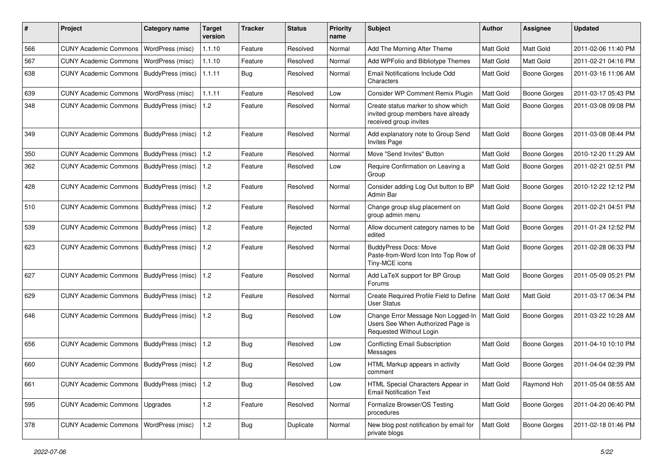| #   | Project                                   | <b>Category name</b> | <b>Target</b><br>version | <b>Tracker</b> | <b>Status</b> | <b>Priority</b><br>name | <b>Subject</b>                                                                                     | <b>Author</b>    | <b>Assignee</b>     | <b>Updated</b>      |
|-----|-------------------------------------------|----------------------|--------------------------|----------------|---------------|-------------------------|----------------------------------------------------------------------------------------------------|------------------|---------------------|---------------------|
| 566 | <b>CUNY Academic Commons</b>              | WordPress (misc)     | 1.1.10                   | Feature        | Resolved      | Normal                  | Add The Morning After Theme                                                                        | Matt Gold        | Matt Gold           | 2011-02-06 11:40 PM |
| 567 | <b>CUNY Academic Commons</b>              | WordPress (misc)     | 1.1.10                   | Feature        | Resolved      | Normal                  | Add WPFolio and Bibliotype Themes                                                                  | Matt Gold        | Matt Gold           | 2011-02-21 04:16 PM |
| 638 | <b>CUNY Academic Commons</b>              | BuddyPress (misc)    | 1.1.11                   | Bug            | Resolved      | Normal                  | Email Notifications Include Odd<br>Characters                                                      | Matt Gold        | <b>Boone Gorges</b> | 2011-03-16 11:06 AM |
| 639 | <b>CUNY Academic Commons</b>              | WordPress (misc)     | 1.1.11                   | Feature        | Resolved      | Low                     | Consider WP Comment Remix Plugin                                                                   | Matt Gold        | <b>Boone Gorges</b> | 2011-03-17 05:43 PM |
| 348 | <b>CUNY Academic Commons</b>              | BuddyPress (misc)    | 1.2                      | Feature        | Resolved      | Normal                  | Create status marker to show which<br>invited group members have already<br>received group invites | Matt Gold        | <b>Boone Gorges</b> | 2011-03-08 09:08 PM |
| 349 | CUNY Academic Commons   BuddyPress (misc) |                      | 1.2                      | Feature        | Resolved      | Normal                  | Add explanatory note to Group Send<br><b>Invites Page</b>                                          | <b>Matt Gold</b> | <b>Boone Gorges</b> | 2011-03-08 08:44 PM |
| 350 | <b>CUNY Academic Commons</b>              | BuddyPress (misc)    | 1.2                      | Feature        | Resolved      | Normal                  | Move "Send Invites" Button                                                                         | Matt Gold        | <b>Boone Gorges</b> | 2010-12-20 11:29 AM |
| 362 | <b>CUNY Academic Commons</b>              | BuddyPress (misc)    | $\vert$ 1.2              | Feature        | Resolved      | Low                     | Require Confirmation on Leaving a<br>Group                                                         | Matt Gold        | Boone Gorges        | 2011-02-21 02:51 PM |
| 428 | <b>CUNY Academic Commons</b>              | BuddyPress (misc)    | $\vert$ 1.2              | Feature        | Resolved      | Normal                  | Consider adding Log Out button to BP<br>Admin Bar                                                  | Matt Gold        | Boone Gorges        | 2010-12-22 12:12 PM |
| 510 | <b>CUNY Academic Commons</b>              | BuddyPress (misc)    | $\vert$ 1.2              | Feature        | Resolved      | Normal                  | Change group slug placement on<br>group admin menu                                                 | Matt Gold        | Boone Gorges        | 2011-02-21 04:51 PM |
| 539 | CUNY Academic Commons   BuddyPress (misc) |                      | $\vert$ 1.2              | Feature        | Rejected      | Normal                  | Allow document category names to be<br>edited                                                      | Matt Gold        | Boone Gorges        | 2011-01-24 12:52 PM |
| 623 | CUNY Academic Commons   BuddyPress (misc) |                      | 1.2                      | Feature        | Resolved      | Normal                  | <b>BuddyPress Docs: Move</b><br>Paste-from-Word Icon Into Top Row of<br>Tiny-MCE icons             | Matt Gold        | Boone Gorges        | 2011-02-28 06:33 PM |
| 627 | <b>CUNY Academic Commons</b>              | BuddyPress (misc)    | 1.2                      | Feature        | Resolved      | Normal                  | Add LaTeX support for BP Group<br>Forums                                                           | Matt Gold        | Boone Gorges        | 2011-05-09 05:21 PM |
| 629 | <b>CUNY Academic Commons</b>              | BuddyPress (misc)    | 1.2                      | Feature        | Resolved      | Normal                  | Create Required Profile Field to Define<br><b>User Status</b>                                      | Matt Gold        | Matt Gold           | 2011-03-17 06:34 PM |
| 646 | <b>CUNY Academic Commons</b>              | BuddyPress (misc)    | $\vert$ 1.2              | <b>Bug</b>     | Resolved      | Low                     | Change Error Message Non Logged-In<br>Users See When Authorized Page is<br>Requested Without Login | Matt Gold        | Boone Gorges        | 2011-03-22 10:28 AM |
| 656 | <b>CUNY Academic Commons</b>              | BuddyPress (misc)    | 1.2                      | <b>Bug</b>     | Resolved      | Low                     | <b>Conflicting Email Subscription</b><br>Messages                                                  | Matt Gold        | Boone Gorges        | 2011-04-10 10:10 PM |
| 660 | CUNY Academic Commons   BuddyPress (misc) |                      | $\vert$ 1.2              | <b>Bug</b>     | Resolved      | Low                     | HTML Markup appears in activity<br>comment                                                         | Matt Gold        | Boone Gorges        | 2011-04-04 02:39 PM |
| 661 | CUNY Academic Commons   BuddyPress (misc) |                      | $\vert$ 1.2              | Bug            | Resolved      | Low                     | HTML Special Characters Appear in<br><b>Email Notification Text</b>                                | Matt Gold        | Raymond Hoh         | 2011-05-04 08:55 AM |
| 595 | <b>CUNY Academic Commons</b>              | Upgrades             | 1.2                      | Feature        | Resolved      | Normal                  | Formalize Browser/OS Testing<br>procedures                                                         | Matt Gold        | Boone Gorges        | 2011-04-20 06:40 PM |
| 378 | <b>CUNY Academic Commons</b>              | WordPress (misc)     | $1.2$                    | Bug            | Duplicate     | Normal                  | New blog post notification by email for<br>private blogs                                           | Matt Gold        | Boone Gorges        | 2011-02-18 01:46 PM |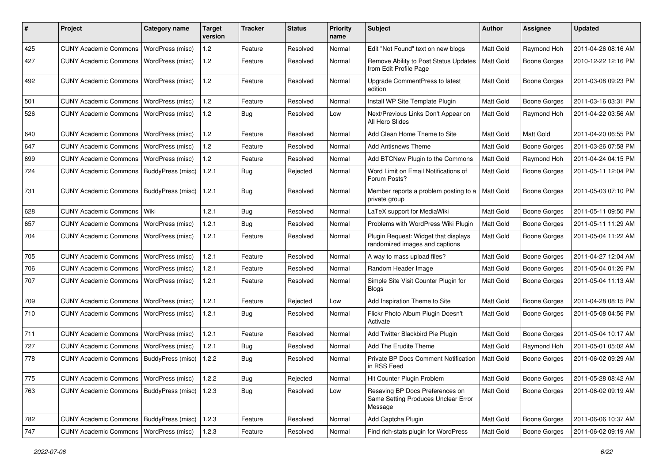| #   | Project                                   | Category name           | <b>Target</b><br>version | <b>Tracker</b> | <b>Status</b> | <b>Priority</b><br>name | Subject                                                                           | Author           | <b>Assignee</b>     | <b>Updated</b>      |
|-----|-------------------------------------------|-------------------------|--------------------------|----------------|---------------|-------------------------|-----------------------------------------------------------------------------------|------------------|---------------------|---------------------|
| 425 | <b>CUNY Academic Commons</b>              | WordPress (misc)        | 1.2                      | Feature        | Resolved      | Normal                  | Edit "Not Found" text on new blogs                                                | Matt Gold        | Raymond Hoh         | 2011-04-26 08:16 AM |
| 427 | <b>CUNY Academic Commons</b>              | WordPress (misc)        | 1.2                      | Feature        | Resolved      | Normal                  | Remove Ability to Post Status Updates<br>from Edit Profile Page                   | <b>Matt Gold</b> | <b>Boone Gorges</b> | 2010-12-22 12:16 PM |
| 492 | <b>CUNY Academic Commons</b>              | WordPress (misc)        | 1.2                      | Feature        | Resolved      | Normal                  | Upgrade CommentPress to latest<br>edition                                         | Matt Gold        | <b>Boone Gorges</b> | 2011-03-08 09:23 PM |
| 501 | <b>CUNY Academic Commons</b>              | WordPress (misc)        | 1.2                      | Feature        | Resolved      | Normal                  | Install WP Site Template Plugin                                                   | Matt Gold        | <b>Boone Gorges</b> | 2011-03-16 03:31 PM |
| 526 | <b>CUNY Academic Commons</b>              | WordPress (misc)        | 1.2                      | <b>Bug</b>     | Resolved      | Low                     | Next/Previous Links Don't Appear on<br>All Hero Slides                            | Matt Gold        | Raymond Hoh         | 2011-04-22 03:56 AM |
| 640 | <b>CUNY Academic Commons</b>              | WordPress (misc)        | 1.2                      | Feature        | Resolved      | Normal                  | Add Clean Home Theme to Site                                                      | Matt Gold        | Matt Gold           | 2011-04-20 06:55 PM |
| 647 | <b>CUNY Academic Commons</b>              | WordPress (misc)        | 1.2                      | Feature        | Resolved      | Normal                  | <b>Add Antisnews Theme</b>                                                        | Matt Gold        | <b>Boone Gorges</b> | 2011-03-26 07:58 PM |
| 699 | <b>CUNY Academic Commons</b>              | WordPress (misc)        | 1.2                      | Feature        | Resolved      | Normal                  | Add BTCNew Plugin to the Commons                                                  | Matt Gold        | Raymond Hoh         | 2011-04-24 04:15 PM |
| 724 | <b>CUNY Academic Commons</b>              | BuddyPress (misc)       | 1.2.1                    | <b>Bug</b>     | Rejected      | Normal                  | Word Limit on Email Notifications of<br>Forum Posts?                              | Matt Gold        | Boone Gorges        | 2011-05-11 12:04 PM |
| 731 | <b>CUNY Academic Commons</b>              | BuddyPress (misc)       | 1.2.1                    | <b>Bug</b>     | Resolved      | Normal                  | Member reports a problem posting to a   Matt Gold<br>private group                |                  | <b>Boone Gorges</b> | 2011-05-03 07:10 PM |
| 628 | <b>CUNY Academic Commons</b>              | Wiki                    | 1.2.1                    | <b>Bug</b>     | Resolved      | Normal                  | LaTeX support for MediaWiki                                                       | Matt Gold        | Boone Gorges        | 2011-05-11 09:50 PM |
| 657 | <b>CUNY Academic Commons</b>              | WordPress (misc)        | 1.2.1                    | <b>Bug</b>     | Resolved      | Normal                  | Problems with WordPress Wiki Plugin                                               | <b>Matt Gold</b> | Boone Gorges        | 2011-05-11 11:29 AM |
| 704 | <b>CUNY Academic Commons</b>              | WordPress (misc)        | 1.2.1                    | Feature        | Resolved      | Normal                  | Plugin Request: Widget that displays<br>randomized images and captions            | Matt Gold        | <b>Boone Gorges</b> | 2011-05-04 11:22 AM |
| 705 | <b>CUNY Academic Commons</b>              | WordPress (misc)        | 1.2.1                    | Feature        | Resolved      | Normal                  | A way to mass upload files?                                                       | Matt Gold        | <b>Boone Gorges</b> | 2011-04-27 12:04 AM |
| 706 | <b>CUNY Academic Commons</b>              | WordPress (misc)        | 1.2.1                    | Feature        | Resolved      | Normal                  | Random Header Image                                                               | Matt Gold        | <b>Boone Gorges</b> | 2011-05-04 01:26 PM |
| 707 | <b>CUNY Academic Commons</b>              | <b>WordPress (misc)</b> | 1.2.1                    | Feature        | Resolved      | Normal                  | Simple Site Visit Counter Plugin for<br><b>Blogs</b>                              | Matt Gold        | Boone Gorges        | 2011-05-04 11:13 AM |
| 709 | <b>CUNY Academic Commons</b>              | WordPress (misc)        | 1.2.1                    | Feature        | Rejected      | Low                     | Add Inspiration Theme to Site                                                     | Matt Gold        | Boone Gorges        | 2011-04-28 08:15 PM |
| 710 | <b>CUNY Academic Commons</b>              | <b>WordPress (misc)</b> | 1.2.1                    | Bug            | Resolved      | Normal                  | Flickr Photo Album Plugin Doesn't<br>Activate                                     | <b>Matt Gold</b> | Boone Gorges        | 2011-05-08 04:56 PM |
| 711 | <b>CUNY Academic Commons</b>              | WordPress (misc)        | 1.2.1                    | Feature        | Resolved      | Normal                  | Add Twitter Blackbird Pie Plugin                                                  | Matt Gold        | Boone Gorges        | 2011-05-04 10:17 AM |
| 727 | <b>CUNY Academic Commons</b>              | WordPress (misc)        | 1.2.1                    | Bug            | Resolved      | Normal                  | Add The Erudite Theme                                                             | Matt Gold        | Raymond Hoh         | 2011-05-01 05:02 AM |
| 778 | <b>CUNY Academic Commons</b>              | BuddyPress (misc)       | 1.2.2                    | <b>Bug</b>     | Resolved      | Normal                  | Private BP Docs Comment Notification<br>in RSS Feed                               | <b>Matt Gold</b> | <b>Boone Gorges</b> | 2011-06-02 09:29 AM |
| 775 | CUNY Academic Commons   WordPress (misc)  |                         | 1.2.2                    | Bug            | Rejected      | Normal                  | Hit Counter Plugin Problem                                                        | Matt Gold        | Boone Gorges        | 2011-05-28 08:42 AM |
| 763 | CUNY Academic Commons   BuddyPress (misc) |                         | 1.2.3                    | <b>Bug</b>     | Resolved      | Low                     | Resaving BP Docs Preferences on<br>Same Setting Produces Unclear Error<br>Message | Matt Gold        | <b>Boone Gorges</b> | 2011-06-02 09:19 AM |
| 782 | <b>CUNY Academic Commons</b>              | BuddyPress (misc)       | 1.2.3                    | Feature        | Resolved      | Normal                  | Add Captcha Plugin                                                                | Matt Gold        | Boone Gorges        | 2011-06-06 10:37 AM |
| 747 | CUNY Academic Commons   WordPress (misc)  |                         | 1.2.3                    | Feature        | Resolved      | Normal                  | Find rich-stats plugin for WordPress                                              | Matt Gold        | <b>Boone Gorges</b> | 2011-06-02 09:19 AM |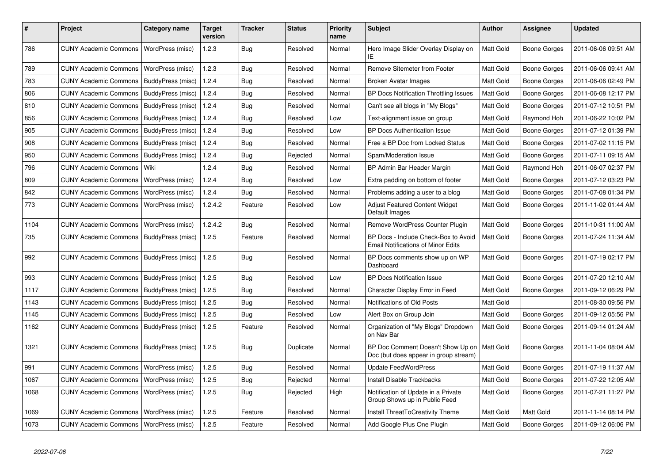| #    | Project                                   | Category name           | Target<br>version | <b>Tracker</b> | <b>Status</b> | <b>Priority</b><br>name | <b>Subject</b>                                                                    | <b>Author</b> | <b>Assignee</b>     | <b>Updated</b>      |
|------|-------------------------------------------|-------------------------|-------------------|----------------|---------------|-------------------------|-----------------------------------------------------------------------------------|---------------|---------------------|---------------------|
| 786  | <b>CUNY Academic Commons</b>              | WordPress (misc)        | 1.2.3             | Bug            | Resolved      | Normal                  | Hero Image Slider Overlay Display on<br>IE                                        | Matt Gold     | <b>Boone Gorges</b> | 2011-06-06 09:51 AM |
| 789  | <b>CUNY Academic Commons</b>              | WordPress (misc)        | 1.2.3             | Bug            | Resolved      | Normal                  | <b>Remove Sitemeter from Footer</b>                                               | Matt Gold     | <b>Boone Gorges</b> | 2011-06-06 09:41 AM |
| 783  | <b>CUNY Academic Commons</b>              | BuddyPress (misc)       | 1.2.4             | Bug            | Resolved      | Normal                  | Broken Avatar Images                                                              | Matt Gold     | Boone Gorges        | 2011-06-06 02:49 PM |
| 806  | <b>CUNY Academic Commons</b>              | BuddyPress (misc)       | 1.2.4             | Bug            | Resolved      | Normal                  | <b>BP Docs Notification Throttling Issues</b>                                     | Matt Gold     | <b>Boone Gorges</b> | 2011-06-08 12:17 PM |
| 810  | <b>CUNY Academic Commons</b>              | BuddyPress (misc)       | 1.2.4             | Bug            | Resolved      | Normal                  | Can't see all blogs in "My Blogs"                                                 | Matt Gold     | Boone Gorges        | 2011-07-12 10:51 PM |
| 856  | <b>CUNY Academic Commons</b>              | BuddyPress (misc)       | 1.2.4             | Bug            | Resolved      | Low                     | Text-alignment issue on group                                                     | Matt Gold     | Raymond Hoh         | 2011-06-22 10:02 PM |
| 905  | <b>CUNY Academic Commons</b>              | BuddyPress (misc)       | 1.2.4             | Bug            | Resolved      | Low                     | <b>BP Docs Authentication Issue</b>                                               | Matt Gold     | Boone Gorges        | 2011-07-12 01:39 PM |
| 908  | <b>CUNY Academic Commons</b>              | BuddyPress (misc)       | 1.2.4             | Bug            | Resolved      | Normal                  | Free a BP Doc from Locked Status                                                  | Matt Gold     | <b>Boone Gorges</b> | 2011-07-02 11:15 PM |
| 950  | <b>CUNY Academic Commons</b>              | BuddyPress (misc)       | 1.2.4             | Bug            | Rejected      | Normal                  | Spam/Moderation Issue                                                             | Matt Gold     | Boone Gorges        | 2011-07-11 09:15 AM |
| 796  | <b>CUNY Academic Commons</b>              | Wiki                    | 1.2.4             | Bug            | Resolved      | Normal                  | BP Admin Bar Header Margin                                                        | Matt Gold     | Raymond Hoh         | 2011-06-07 02:37 PM |
| 809  | <b>CUNY Academic Commons</b>              | WordPress (misc)        | 1.2.4             | Bug            | Resolved      | Low                     | Extra padding on bottom of footer                                                 | Matt Gold     | <b>Boone Gorges</b> | 2011-07-12 03:23 PM |
| 842  | <b>CUNY Academic Commons</b>              | WordPress (misc)        | 1.2.4             | Bug            | Resolved      | Normal                  | Problems adding a user to a blog                                                  | Matt Gold     | Boone Gorges        | 2011-07-08 01:34 PM |
| 773  | <b>CUNY Academic Commons</b>              | WordPress (misc)        | 1.2.4.2           | Feature        | Resolved      | Low                     | Adjust Featured Content Widget<br>Default Images                                  | Matt Gold     | Boone Gorges        | 2011-11-02 01:44 AM |
| 1104 | <b>CUNY Academic Commons</b>              | WordPress (misc)        | 1.2.4.2           | Bug            | Resolved      | Normal                  | Remove WordPress Counter Plugin                                                   | Matt Gold     | <b>Boone Gorges</b> | 2011-10-31 11:00 AM |
| 735  | <b>CUNY Academic Commons</b>              | BuddyPress (misc)       | 1.2.5             | Feature        | Resolved      | Normal                  | BP Docs - Include Check-Box to Avoid<br><b>Email Notifications of Minor Edits</b> | Matt Gold     | Boone Gorges        | 2011-07-24 11:34 AM |
| 992  | <b>CUNY Academic Commons</b>              | BuddyPress (misc)       | 1.2.5             | Bug            | Resolved      | Normal                  | BP Docs comments show up on WP<br>Dashboard                                       | Matt Gold     | <b>Boone Gorges</b> | 2011-07-19 02:17 PM |
| 993  | <b>CUNY Academic Commons</b>              | BuddyPress (misc)       | 1.2.5             | Bug            | Resolved      | Low                     | <b>BP Docs Notification Issue</b>                                                 | Matt Gold     | Boone Gorges        | 2011-07-20 12:10 AM |
| 1117 | <b>CUNY Academic Commons</b>              | BuddyPress (misc)       | 1.2.5             | Bug            | Resolved      | Normal                  | Character Display Error in Feed                                                   | Matt Gold     | Boone Gorges        | 2011-09-12 06:29 PM |
| 1143 | <b>CUNY Academic Commons</b>              | BuddyPress (misc)       | 1.2.5             | Bug            | Resolved      | Normal                  | Notifications of Old Posts                                                        | Matt Gold     |                     | 2011-08-30 09:56 PM |
| 1145 | <b>CUNY Academic Commons</b>              | BuddyPress (misc)       | 1.2.5             | <b>Bug</b>     | Resolved      | Low                     | Alert Box on Group Join                                                           | Matt Gold     | Boone Gorges        | 2011-09-12 05:56 PM |
| 1162 | <b>CUNY Academic Commons</b>              | BuddyPress (misc)       | 1.2.5             | Feature        | Resolved      | Normal                  | Organization of "My Blogs" Dropdown<br>on Nav Bar                                 | Matt Gold     | Boone Gorges        | 2011-09-14 01:24 AM |
| 1321 | CUNY Academic Commons   BuddyPress (misc) |                         | 1.2.5             | Bug            | Duplicate     | Normal                  | BP Doc Comment Doesn't Show Up on<br>Doc (but does appear in group stream)        | Matt Gold     | Boone Gorges        | 2011-11-04 08:04 AM |
| 991  | <b>CUNY Academic Commons</b>              | WordPress (misc)        | 1.2.5             | <b>Bug</b>     | Resolved      | Normal                  | <b>Update FeedWordPress</b>                                                       | Matt Gold     | Boone Gorges        | 2011-07-19 11:37 AM |
| 1067 | <b>CUNY Academic Commons</b>              | WordPress (misc)        | 1.2.5             | <b>Bug</b>     | Rejected      | Normal                  | Install Disable Trackbacks                                                        | Matt Gold     | <b>Boone Gorges</b> | 2011-07-22 12:05 AM |
| 1068 | <b>CUNY Academic Commons</b>              | WordPress (misc)        | 1.2.5             | Bug            | Rejected      | High                    | Notification of Update in a Private<br>Group Shows up in Public Feed              | Matt Gold     | Boone Gorges        | 2011-07-21 11:27 PM |
| 1069 | <b>CUNY Academic Commons</b>              | WordPress (misc)        | 1.2.5             | Feature        | Resolved      | Normal                  | Install ThreatToCreativity Theme                                                  | Matt Gold     | Matt Gold           | 2011-11-14 08:14 PM |
| 1073 | <b>CUNY Academic Commons</b>              | <b>WordPress (misc)</b> | 1.2.5             | Feature        | Resolved      | Normal                  | Add Google Plus One Plugin                                                        | Matt Gold     | <b>Boone Gorges</b> | 2011-09-12 06:06 PM |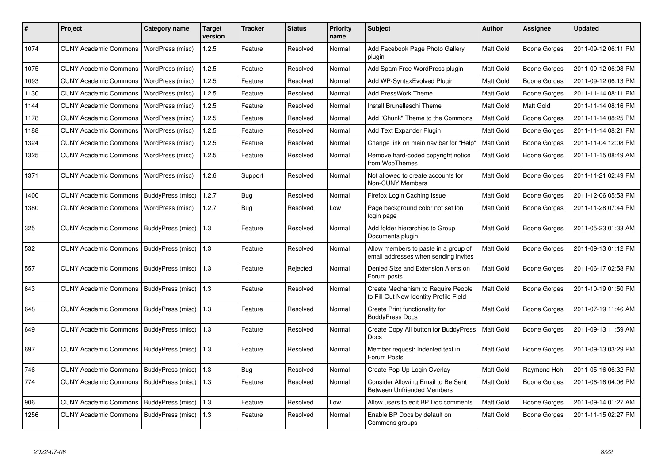| #    | <b>Project</b>               | Category name            | <b>Target</b><br>version | <b>Tracker</b> | <b>Status</b> | <b>Priority</b><br>name | <b>Subject</b>                                                                      | Author           | Assignee     | <b>Updated</b>      |
|------|------------------------------|--------------------------|--------------------------|----------------|---------------|-------------------------|-------------------------------------------------------------------------------------|------------------|--------------|---------------------|
| 1074 | <b>CUNY Academic Commons</b> | WordPress (misc)         | 1.2.5                    | Feature        | Resolved      | Normal                  | Add Facebook Page Photo Gallery<br>plugin                                           | Matt Gold        | Boone Gorges | 2011-09-12 06:11 PM |
| 1075 | <b>CUNY Academic Commons</b> | WordPress (misc)         | 1.2.5                    | Feature        | Resolved      | Normal                  | Add Spam Free WordPress plugin                                                      | Matt Gold        | Boone Gorges | 2011-09-12 06:08 PM |
| 1093 | <b>CUNY Academic Commons</b> | WordPress (misc)         | 1.2.5                    | Feature        | Resolved      | Normal                  | Add WP-SyntaxEvolved Plugin                                                         | Matt Gold        | Boone Gorges | 2011-09-12 06:13 PM |
| 1130 | <b>CUNY Academic Commons</b> | WordPress (misc)         | 1.2.5                    | Feature        | Resolved      | Normal                  | Add PressWork Theme                                                                 | Matt Gold        | Boone Gorges | 2011-11-14 08:11 PM |
| 1144 | <b>CUNY Academic Commons</b> | WordPress (misc)         | 1.2.5                    | Feature        | Resolved      | Normal                  | Install Brunelleschi Theme                                                          | <b>Matt Gold</b> | Matt Gold    | 2011-11-14 08:16 PM |
| 1178 | <b>CUNY Academic Commons</b> | WordPress (misc)         | 1.2.5                    | Feature        | Resolved      | Normal                  | Add "Chunk" Theme to the Commons                                                    | Matt Gold        | Boone Gorges | 2011-11-14 08:25 PM |
| 1188 | <b>CUNY Academic Commons</b> | WordPress (misc)         | 1.2.5                    | Feature        | Resolved      | Normal                  | Add Text Expander Plugin                                                            | Matt Gold        | Boone Gorges | 2011-11-14 08:21 PM |
| 1324 | <b>CUNY Academic Commons</b> | WordPress (misc)         | 1.2.5                    | Feature        | Resolved      | Normal                  | Change link on main nav bar for "Help"                                              | Matt Gold        | Boone Gorges | 2011-11-04 12:08 PM |
| 1325 | <b>CUNY Academic Commons</b> | WordPress (misc)         | 1.2.5                    | Feature        | Resolved      | Normal                  | Remove hard-coded copyright notice<br>from WooThemes                                | Matt Gold        | Boone Gorges | 2011-11-15 08:49 AM |
| 1371 | <b>CUNY Academic Commons</b> | WordPress (misc)         | 1.2.6                    | Support        | Resolved      | Normal                  | Not allowed to create accounts for<br><b>Non-CUNY Members</b>                       | <b>Matt Gold</b> | Boone Gorges | 2011-11-21 02:49 PM |
| 1400 | <b>CUNY Academic Commons</b> | BuddyPress (misc)        | 1.2.7                    | <b>Bug</b>     | Resolved      | Normal                  | Firefox Login Caching Issue                                                         | Matt Gold        | Boone Gorges | 2011-12-06 05:53 PM |
| 1380 | <b>CUNY Academic Commons</b> | WordPress (misc)         | 1.2.7                    | <b>Bug</b>     | Resolved      | Low                     | Page background color not set lon<br>login page                                     | Matt Gold        | Boone Gorges | 2011-11-28 07:44 PM |
| 325  | <b>CUNY Academic Commons</b> | BuddyPress (misc)        | 1.3                      | Feature        | Resolved      | Normal                  | Add folder hierarchies to Group<br>Documents plugin                                 | <b>Matt Gold</b> | Boone Gorges | 2011-05-23 01:33 AM |
| 532  | <b>CUNY Academic Commons</b> | BuddyPress (misc)        | 1.3                      | Feature        | Resolved      | Normal                  | Allow members to paste in a group of<br>email addresses when sending invites        | Matt Gold        | Boone Gorges | 2011-09-13 01:12 PM |
| 557  | <b>CUNY Academic Commons</b> | BuddyPress (misc)        | 1.3                      | Feature        | Rejected      | Normal                  | Denied Size and Extension Alerts on<br>Forum posts                                  | Matt Gold        | Boone Gorges | 2011-06-17 02:58 PM |
| 643  | <b>CUNY Academic Commons</b> | BuddyPress (misc)        | 1.3                      | Feature        | Resolved      | Normal                  | <b>Create Mechanism to Require People</b><br>to Fill Out New Identity Profile Field | Matt Gold        | Boone Gorges | 2011-10-19 01:50 PM |
| 648  | CUNY Academic Commons        | BuddyPress (misc)        | 1.3                      | Feature        | Resolved      | Normal                  | Create Print functionality for<br><b>BuddvPress Docs</b>                            | Matt Gold        | Boone Gorges | 2011-07-19 11:46 AM |
| 649  | <b>CUNY Academic Commons</b> | BuddyPress (misc)        | 1.3                      | Feature        | Resolved      | Normal                  | Create Copy All button for BuddyPress<br>Docs                                       | Matt Gold        | Boone Gorges | 2011-09-13 11:59 AM |
| 697  | <b>CUNY Academic Commons</b> | BuddyPress (misc)        | 1.3                      | Feature        | Resolved      | Normal                  | Member request: Indented text in<br>Forum Posts                                     | Matt Gold        | Boone Gorges | 2011-09-13 03:29 PM |
| 746  | <b>CUNY Academic Commons</b> | <b>BuddyPress (misc)</b> | 1.3                      | <b>Bug</b>     | Resolved      | Normal                  | Create Pop-Up Login Overlay                                                         | Matt Gold        | Raymond Hoh  | 2011-05-16 06:32 PM |
| 774  | <b>CUNY Academic Commons</b> | BuddyPress (misc)        | 1.3                      | Feature        | Resolved      | Normal                  | Consider Allowing Email to Be Sent<br><b>Between Unfriended Members</b>             | <b>Matt Gold</b> | Boone Gorges | 2011-06-16 04:06 PM |
| 906  | <b>CUNY Academic Commons</b> | BuddyPress (misc)        | 1.3                      | Feature        | Resolved      | Low                     | Allow users to edit BP Doc comments                                                 | <b>Matt Gold</b> | Boone Gorges | 2011-09-14 01:27 AM |
| 1256 | <b>CUNY Academic Commons</b> | BuddyPress (misc)        | 1.3                      | Feature        | Resolved      | Normal                  | Enable BP Docs by default on<br>Commons groups                                      | Matt Gold        | Boone Gorges | 2011-11-15 02:27 PM |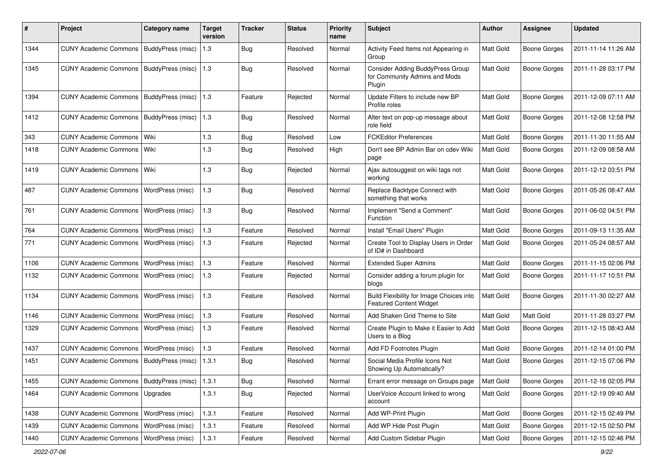| #    | Project                                           | <b>Category name</b>     | <b>Target</b><br>version | <b>Tracker</b> | <b>Status</b> | <b>Priority</b><br>name | <b>Subject</b>                                                              | Author           | <b>Assignee</b>     | <b>Updated</b>      |
|------|---------------------------------------------------|--------------------------|--------------------------|----------------|---------------|-------------------------|-----------------------------------------------------------------------------|------------------|---------------------|---------------------|
| 1344 | <b>CUNY Academic Commons</b>                      | BuddyPress (misc)        | 1.3                      | <b>Bug</b>     | Resolved      | Normal                  | Activity Feed Items not Appearing in<br>Group                               | Matt Gold        | <b>Boone Gorges</b> | 2011-11-14 11:26 AM |
| 1345 | <b>CUNY Academic Commons</b>                      | BuddyPress (misc)        | 1.3                      | Bug            | Resolved      | Normal                  | Consider Adding BuddyPress Group<br>for Community Admins and Mods<br>Plugin | Matt Gold        | <b>Boone Gorges</b> | 2011-11-28 03:17 PM |
| 1394 | <b>CUNY Academic Commons</b>                      | BuddyPress (misc)        | 1.3                      | Feature        | Rejected      | Normal                  | Update Filters to include new BP<br>Profile roles                           | Matt Gold        | <b>Boone Gorges</b> | 2011-12-09 07:11 AM |
| 1412 | <b>CUNY Academic Commons</b>                      | BuddyPress (misc)        | 1.3                      | Bug            | Resolved      | Normal                  | Alter text on pop-up message about<br>role field                            | Matt Gold        | Boone Gorges        | 2011-12-08 12:58 PM |
| 343  | <b>CUNY Academic Commons</b>                      | Wiki                     | 1.3                      | Bug            | Resolved      | Low                     | <b>FCKEditor Preferences</b>                                                | Matt Gold        | <b>Boone Gorges</b> | 2011-11-30 11:55 AM |
| 1418 | CUNY Academic Commons   Wiki                      |                          | 1.3                      | Bug            | Resolved      | High                    | Don't see BP Admin Bar on cdev Wiki<br>page                                 | Matt Gold        | Boone Gorges        | 2011-12-09 08:58 AM |
| 1419 | <b>CUNY Academic Commons</b>                      | Wiki                     | 1.3                      | <b>Bug</b>     | Rejected      | Normal                  | Ajax autosuggest on wiki tags not<br>working                                | Matt Gold        | <b>Boone Gorges</b> | 2011-12-12 03:51 PM |
| 487  | <b>CUNY Academic Commons</b>                      | WordPress (misc)         | 1.3                      | <b>Bug</b>     | Resolved      | Normal                  | Replace Backtype Connect with<br>something that works                       | Matt Gold        | Boone Gorges        | 2011-05-26 08:47 AM |
| 761  | <b>CUNY Academic Commons</b>                      | WordPress (misc)         | 1.3                      | Bug            | Resolved      | Normal                  | Implement "Send a Comment"<br>Function                                      | Matt Gold        | Boone Gorges        | 2011-06-02 04:51 PM |
| 764  | <b>CUNY Academic Commons</b>                      | WordPress (misc)         | 1.3                      | Feature        | Resolved      | Normal                  | Install "Email Users" Plugin                                                | Matt Gold        | <b>Boone Gorges</b> | 2011-09-13 11:35 AM |
| 771  | <b>CUNY Academic Commons</b>                      | WordPress (misc)         | 1.3                      | Feature        | Rejected      | Normal                  | Create Tool to Display Users in Order<br>of ID# in Dashboard                | <b>Matt Gold</b> | <b>Boone Gorges</b> | 2011-05-24 08:57 AM |
| 1106 | <b>CUNY Academic Commons</b>                      | WordPress (misc)         | $1.3$                    | Feature        | Resolved      | Normal                  | <b>Extended Super Admins</b>                                                | Matt Gold        | <b>Boone Gorges</b> | 2011-11-15 02:06 PM |
| 1132 | <b>CUNY Academic Commons</b>                      | WordPress (misc)         | 1.3                      | Feature        | Rejected      | Normal                  | Consider adding a forum plugin for<br>blogs                                 | <b>Matt Gold</b> | Boone Gorges        | 2011-11-17 10:51 PM |
| 1134 | <b>CUNY Academic Commons</b>                      | WordPress (misc)         | 1.3                      | Feature        | Resolved      | Normal                  | Build Flexibility for Image Choices into<br><b>Featured Content Widget</b>  | Matt Gold        | Boone Gorges        | 2011-11-30 02:27 AM |
| 1146 | <b>CUNY Academic Commons</b>                      | WordPress (misc)         | $1.3$                    | Feature        | Resolved      | Normal                  | Add Shaken Grid Theme to Site                                               | <b>Matt Gold</b> | Matt Gold           | 2011-11-28 03:27 PM |
| 1329 | <b>CUNY Academic Commons</b>                      | WordPress (misc)         | 1.3                      | Feature        | Resolved      | Normal                  | Create Plugin to Make it Easier to Add<br>Users to a Blog                   | Matt Gold        | Boone Gorges        | 2011-12-15 08:43 AM |
| 1437 | <b>CUNY Academic Commons</b>                      | WordPress (misc)         | 1.3                      | Feature        | Resolved      | Normal                  | Add FD Footnotes Plugin                                                     | Matt Gold        | Boone Gorges        | 2011-12-14 01:00 PM |
| 1451 | <b>CUNY Academic Commons</b>                      | <b>BuddyPress (misc)</b> | 1.3.1                    | <b>Bug</b>     | Resolved      | Normal                  | Social Media Profile Icons Not<br>Showing Up Automatically?                 | <b>Matt Gold</b> | Boone Gorges        | 2011-12-15 07:06 PM |
| 1455 | CUNY Academic Commons   BuddyPress (misc)   1.3.1 |                          |                          | <b>Bug</b>     | Resolved      | Normal                  | Errant error message on Groups page                                         | Matt Gold        | <b>Boone Gorges</b> | 2011-12-16 02:05 PM |
| 1464 | CUNY Academic Commons   Upgrades                  |                          | 1.3.1                    | <b>Bug</b>     | Rejected      | Normal                  | UserVoice Account linked to wrong<br>account                                | Matt Gold        | Boone Gorges        | 2011-12-19 09:40 AM |
| 1438 | CUNY Academic Commons   WordPress (misc)          |                          | 1.3.1                    | Feature        | Resolved      | Normal                  | Add WP-Print Plugin                                                         | Matt Gold        | Boone Gorges        | 2011-12-15 02:49 PM |
| 1439 | <b>CUNY Academic Commons</b>                      | WordPress (misc)         | 1.3.1                    | Feature        | Resolved      | Normal                  | Add WP Hide Post Plugin                                                     | Matt Gold        | <b>Boone Gorges</b> | 2011-12-15 02:50 PM |
| 1440 | <b>CUNY Academic Commons</b>                      | WordPress (misc)         | 1.3.1                    | Feature        | Resolved      | Normal                  | Add Custom Sidebar Plugin                                                   | Matt Gold        | Boone Gorges        | 2011-12-15 02:46 PM |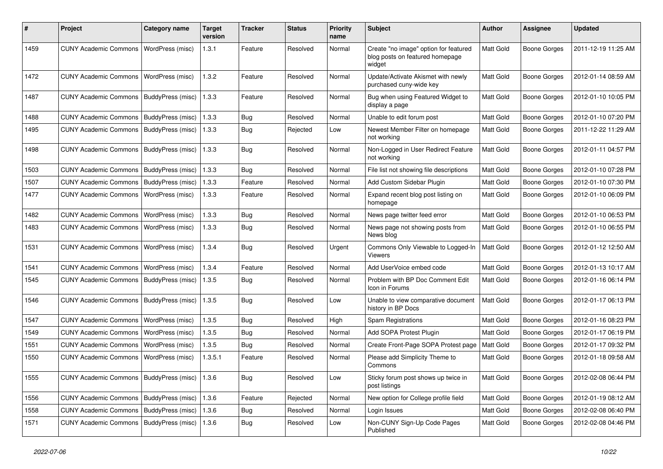| #    | Project                                           | <b>Category name</b>      | <b>Target</b><br>version | Tracker    | <b>Status</b> | <b>Priority</b><br>name | <b>Subject</b>                                                                     | Author    | <b>Assignee</b>     | <b>Updated</b>      |
|------|---------------------------------------------------|---------------------------|--------------------------|------------|---------------|-------------------------|------------------------------------------------------------------------------------|-----------|---------------------|---------------------|
| 1459 | <b>CUNY Academic Commons</b>                      | WordPress (misc)          | 1.3.1                    | Feature    | Resolved      | Normal                  | Create "no image" option for featured<br>blog posts on featured homepage<br>widget | Matt Gold | <b>Boone Gorges</b> | 2011-12-19 11:25 AM |
| 1472 | <b>CUNY Academic Commons</b>                      | WordPress (misc)          | 1.3.2                    | Feature    | Resolved      | Normal                  | Update/Activate Akismet with newly<br>purchased cuny-wide key                      | Matt Gold | <b>Boone Gorges</b> | 2012-01-14 08:59 AM |
| 1487 | <b>CUNY Academic Commons</b>                      | BuddyPress (misc)         | 1.3.3                    | Feature    | Resolved      | Normal                  | Bug when using Featured Widget to<br>display a page                                | Matt Gold | <b>Boone Gorges</b> | 2012-01-10 10:05 PM |
| 1488 | <b>CUNY Academic Commons</b>                      | BuddyPress (misc)         | 1.3.3                    | <b>Bug</b> | Resolved      | Normal                  | Unable to edit forum post                                                          | Matt Gold | <b>Boone Gorges</b> | 2012-01-10 07:20 PM |
| 1495 | <b>CUNY Academic Commons</b>                      | BuddyPress (misc)         | 1.3.3                    | Bug        | Rejected      | Low                     | Newest Member Filter on homepage<br>not working                                    | Matt Gold | <b>Boone Gorges</b> | 2011-12-22 11:29 AM |
| 1498 | <b>CUNY Academic Commons</b>                      | BuddyPress (misc)         | 1.3.3                    | Bug        | Resolved      | Normal                  | Non-Logged in User Redirect Feature<br>not working                                 | Matt Gold | <b>Boone Gorges</b> | 2012-01-11 04:57 PM |
| 1503 | <b>CUNY Academic Commons</b>                      | BuddyPress (misc)         | 1.3.3                    | <b>Bug</b> | Resolved      | Normal                  | File list not showing file descriptions                                            | Matt Gold | <b>Boone Gorges</b> | 2012-01-10 07:28 PM |
| 1507 | <b>CUNY Academic Commons</b>                      | BuddyPress (misc)         | 1.3.3                    | Feature    | Resolved      | Normal                  | Add Custom Sidebar Plugin                                                          | Matt Gold | <b>Boone Gorges</b> | 2012-01-10 07:30 PM |
| 1477 | <b>CUNY Academic Commons</b>                      | WordPress (misc)          | 1.3.3                    | Feature    | Resolved      | Normal                  | Expand recent blog post listing on<br>homepage                                     | Matt Gold | <b>Boone Gorges</b> | 2012-01-10 06:09 PM |
| 1482 | <b>CUNY Academic Commons</b>                      | WordPress (misc)          | 1.3.3                    | Bug        | Resolved      | Normal                  | News page twitter feed error                                                       | Matt Gold | <b>Boone Gorges</b> | 2012-01-10 06:53 PM |
| 1483 | <b>CUNY Academic Commons</b>                      | WordPress (misc)          | 1.3.3                    | <b>Bug</b> | Resolved      | Normal                  | News page not showing posts from<br>News blog                                      | Matt Gold | <b>Boone Gorges</b> | 2012-01-10 06:55 PM |
| 1531 | <b>CUNY Academic Commons</b>                      | WordPress (misc)          | 1.3.4                    | Bug        | Resolved      | Urgent                  | Commons Only Viewable to Logged-In<br>Viewers                                      | Matt Gold | <b>Boone Gorges</b> | 2012-01-12 12:50 AM |
| 1541 | <b>CUNY Academic Commons</b>                      | WordPress (misc)          | 1.3.4                    | Feature    | Resolved      | Normal                  | Add UserVoice embed code                                                           | Matt Gold | <b>Boone Gorges</b> | 2012-01-13 10:17 AM |
| 1545 | <b>CUNY Academic Commons</b>                      | BuddyPress (misc)         | 1.3.5                    | <b>Bug</b> | Resolved      | Normal                  | Problem with BP Doc Comment Edit<br>Icon in Forums                                 | Matt Gold | <b>Boone Gorges</b> | 2012-01-16 06:14 PM |
| 1546 | <b>CUNY Academic Commons</b>                      | BuddyPress (misc)         | 1.3.5                    | Bug        | Resolved      | Low                     | Unable to view comparative document<br>history in BP Docs                          | Matt Gold | <b>Boone Gorges</b> | 2012-01-17 06:13 PM |
| 1547 | <b>CUNY Academic Commons</b>                      | WordPress (misc)          | 1.3.5                    | <b>Bug</b> | Resolved      | High                    | Spam Registrations                                                                 | Matt Gold | <b>Boone Gorges</b> | 2012-01-16 08:23 PM |
| 1549 | <b>CUNY Academic Commons</b>                      | WordPress (misc)          | 1.3.5                    | Bug        | Resolved      | Normal                  | Add SOPA Protest Plugin                                                            | Matt Gold | <b>Boone Gorges</b> | 2012-01-17 06:19 PM |
| 1551 | <b>CUNY Academic Commons</b>                      | WordPress (misc)          | 1.3.5                    | <b>Bug</b> | Resolved      | Normal                  | Create Front-Page SOPA Protest page                                                | Matt Gold | <b>Boone Gorges</b> | 2012-01-17 09:32 PM |
| 1550 | <b>CUNY Academic Commons</b>                      | WordPress (misc)          | 1.3.5.1                  | Feature    | Resolved      | Normal                  | Please add Simplicity Theme to<br>Commons                                          | Matt Gold | <b>Boone Gorges</b> | 2012-01-18 09:58 AM |
| 1555 | CUNY Academic Commons   BuddyPress (misc)   1.3.6 |                           |                          | Bug        | Resolved      | Low                     | Sticky forum post shows up twice in<br>post listings                               | Matt Gold | <b>Boone Gorges</b> | 2012-02-08 06:44 PM |
| 1556 | CUNY Academic Commons   BuddyPress (misc)         |                           | 1.3.6                    | Feature    | Rejected      | Normal                  | New option for College profile field                                               | Matt Gold | <b>Boone Gorges</b> | 2012-01-19 08:12 AM |
| 1558 | <b>CUNY Academic Commons</b>                      | BuddyPress (misc)         | 1.3.6                    | Bug        | Resolved      | Normal                  | Login Issues                                                                       | Matt Gold | <b>Boone Gorges</b> | 2012-02-08 06:40 PM |
| 1571 | <b>CUNY Academic Commons</b>                      | BuddyPress (misc)   1.3.6 |                          | <b>Bug</b> | Resolved      | Low                     | Non-CUNY Sign-Up Code Pages<br>Published                                           | Matt Gold | <b>Boone Gorges</b> | 2012-02-08 04:46 PM |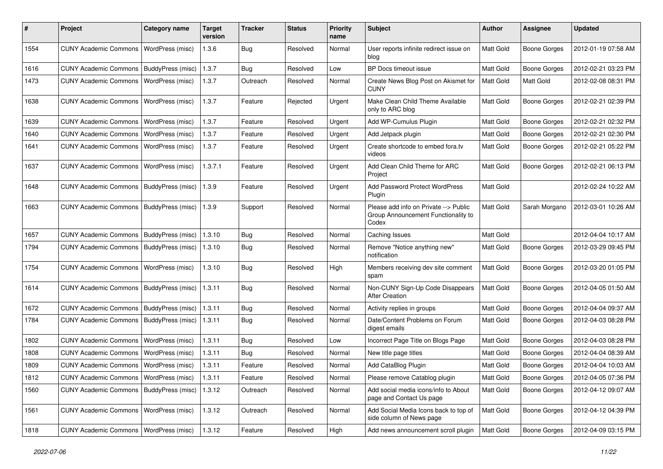| ∦    | Project                                   | <b>Category name</b>     | <b>Target</b><br>version | <b>Tracker</b> | <b>Status</b> | <b>Priority</b><br>name | <b>Subject</b>                                                                        | Author    | <b>Assignee</b>     | <b>Updated</b>      |
|------|-------------------------------------------|--------------------------|--------------------------|----------------|---------------|-------------------------|---------------------------------------------------------------------------------------|-----------|---------------------|---------------------|
| 1554 | <b>CUNY Academic Commons</b>              | WordPress (misc)         | 1.3.6                    | Bug            | Resolved      | Normal                  | User reports infinite redirect issue on<br>blog                                       | Matt Gold | <b>Boone Gorges</b> | 2012-01-19 07:58 AM |
| 1616 | CUNY Academic Commons   BuddyPress (misc) |                          | 1.3.7                    | <b>Bug</b>     | Resolved      | Low                     | BP Docs timeout issue                                                                 | Matt Gold | <b>Boone Gorges</b> | 2012-02-21 03:23 PM |
| 1473 | <b>CUNY Academic Commons</b>              | WordPress (misc)         | 1.3.7                    | Outreach       | Resolved      | Normal                  | Create News Blog Post on Akismet for<br><b>CUNY</b>                                   | Matt Gold | Matt Gold           | 2012-02-08 08:31 PM |
| 1638 | <b>CUNY Academic Commons</b>              | WordPress (misc)         | 1.3.7                    | Feature        | Rejected      | Urgent                  | Make Clean Child Theme Available<br>only to ARC blog                                  | Matt Gold | <b>Boone Gorges</b> | 2012-02-21 02:39 PM |
| 1639 | <b>CUNY Academic Commons</b>              | WordPress (misc)         | 1.3.7                    | Feature        | Resolved      | Urgent                  | Add WP-Cumulus Plugin                                                                 | Matt Gold | <b>Boone Gorges</b> | 2012-02-21 02:32 PM |
| 1640 | <b>CUNY Academic Commons</b>              | WordPress (misc)         | 1.3.7                    | Feature        | Resolved      | Urgent                  | Add Jetpack plugin                                                                    | Matt Gold | <b>Boone Gorges</b> | 2012-02-21 02:30 PM |
| 1641 | <b>CUNY Academic Commons</b>              | WordPress (misc)         | 1.3.7                    | Feature        | Resolved      | Urgent                  | Create shortcode to embed fora.tv<br>videos                                           | Matt Gold | <b>Boone Gorges</b> | 2012-02-21 05:22 PM |
| 1637 | <b>CUNY Academic Commons</b>              | WordPress (misc)         | 1.3.7.1                  | Feature        | Resolved      | Urgent                  | Add Clean Child Theme for ARC<br>Project                                              | Matt Gold | <b>Boone Gorges</b> | 2012-02-21 06:13 PM |
| 1648 | CUNY Academic Commons   BuddyPress (misc) |                          | 1.3.9                    | Feature        | Resolved      | Urgent                  | Add Password Protect WordPress<br>Plugin                                              | Matt Gold |                     | 2012-02-24 10:22 AM |
| 1663 | <b>CUNY Academic Commons</b>              | BuddyPress (misc)        | 1.3.9                    | Support        | Resolved      | Normal                  | Please add info on Private --> Public<br>Group Announcement Functionality to<br>Codex | Matt Gold | Sarah Morgano       | 2012-03-01 10:26 AM |
| 1657 | CUNY Academic Commons   BuddyPress (misc) |                          | 1.3.10                   | Bug            | Resolved      | Normal                  | Caching Issues                                                                        | Matt Gold |                     | 2012-04-04 10:17 AM |
| 1794 | CUNY Academic Commons   BuddyPress (misc) |                          | 1.3.10                   | Bug            | Resolved      | Normal                  | Remove "Notice anything new"<br>notification                                          | Matt Gold | <b>Boone Gorges</b> | 2012-03-29 09:45 PM |
| 1754 | <b>CUNY Academic Commons</b>              | WordPress (misc)         | 1.3.10                   | Bug            | Resolved      | High                    | Members receiving dev site comment<br>spam                                            | Matt Gold | Boone Gorges        | 2012-03-20 01:05 PM |
| 1614 | <b>CUNY Academic Commons</b>              | BuddyPress (misc)        | 1.3.11                   | Bug            | Resolved      | Normal                  | Non-CUNY Sign-Up Code Disappears<br><b>After Creation</b>                             | Matt Gold | <b>Boone Gorges</b> | 2012-04-05 01:50 AM |
| 1672 | CUNY Academic Commons   BuddyPress (misc) |                          | 1.3.11                   | Bug            | Resolved      | Normal                  | Activity replies in groups                                                            | Matt Gold | <b>Boone Gorges</b> | 2012-04-04 09:37 AM |
| 1784 | <b>CUNY Academic Commons</b>              | <b>BuddyPress (misc)</b> | 1.3.11                   | Bug            | Resolved      | Normal                  | Date/Content Problems on Forum<br>digest emails                                       | Matt Gold | <b>Boone Gorges</b> | 2012-04-03 08:28 PM |
| 1802 | <b>CUNY Academic Commons</b>              | WordPress (misc)         | 1.3.11                   | Bug            | Resolved      | Low                     | Incorrect Page Title on Blogs Page                                                    | Matt Gold | <b>Boone Gorges</b> | 2012-04-03 08:28 PM |
| 1808 | <b>CUNY Academic Commons</b>              | WordPress (misc)         | 1.3.11                   | Bug            | Resolved      | Normal                  | New title page titles                                                                 | Matt Gold | <b>Boone Gorges</b> | 2012-04-04 08:39 AM |
| 1809 | <b>CUNY Academic Commons</b>              | WordPress (misc)         | 1.3.11                   | Feature        | Resolved      | Normal                  | Add CataBlog Plugin                                                                   | Matt Gold | <b>Boone Gorges</b> | 2012-04-04 10:03 AM |
| 1812 | CUNY Academic Commons   WordPress (misc)  |                          | 1.3.11                   | Feature        | Resolved      | Normal                  | Please remove Catablog plugin                                                         | Matt Gold | <b>Boone Gorges</b> | 2012-04-05 07:36 PM |
| 1560 | CUNY Academic Commons   BuddyPress (misc) |                          | 1.3.12                   | Outreach       | Resolved      | Normal                  | Add social media icons/info to About<br>page and Contact Us page                      | Matt Gold | <b>Boone Gorges</b> | 2012-04-12 09:07 AM |
| 1561 | <b>CUNY Academic Commons</b>              | WordPress (misc)         | 1.3.12                   | Outreach       | Resolved      | Normal                  | Add Social Media Icons back to top of<br>side column of News page                     | Matt Gold | Boone Gorges        | 2012-04-12 04:39 PM |
| 1818 | CUNY Academic Commons   WordPress (misc)  |                          | 1.3.12                   | Feature        | Resolved      | High                    | Add news announcement scroll plugin                                                   | Matt Gold | <b>Boone Gorges</b> | 2012-04-09 03:15 PM |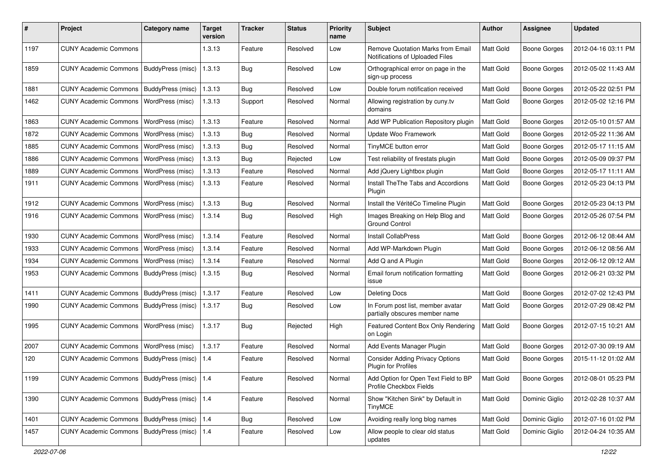| #    | Project                                         | <b>Category name</b>  | <b>Target</b><br>version | Tracker    | <b>Status</b> | <b>Priority</b><br>name | <b>Subject</b>                                                              | Author    | <b>Assignee</b>     | <b>Updated</b>      |
|------|-------------------------------------------------|-----------------------|--------------------------|------------|---------------|-------------------------|-----------------------------------------------------------------------------|-----------|---------------------|---------------------|
| 1197 | <b>CUNY Academic Commons</b>                    |                       | 1.3.13                   | Feature    | Resolved      | Low                     | <b>Remove Quotation Marks from Email</b><br>Notifications of Uploaded Files | Matt Gold | <b>Boone Gorges</b> | 2012-04-16 03:11 PM |
| 1859 | <b>CUNY Academic Commons</b>                    | BuddyPress (misc)     | 1.3.13                   | <b>Bug</b> | Resolved      | Low                     | Orthographical error on page in the<br>sign-up process                      | Matt Gold | <b>Boone Gorges</b> | 2012-05-02 11:43 AM |
| 1881 | <b>CUNY Academic Commons</b>                    | BuddyPress (misc)     | 1.3.13                   | Bug        | Resolved      | Low                     | Double forum notification received                                          | Matt Gold | <b>Boone Gorges</b> | 2012-05-22 02:51 PM |
| 1462 | <b>CUNY Academic Commons</b>                    | WordPress (misc)      | 1.3.13                   | Support    | Resolved      | Normal                  | Allowing registration by cuny.tv<br>domains                                 | Matt Gold | <b>Boone Gorges</b> | 2012-05-02 12:16 PM |
| 1863 | <b>CUNY Academic Commons</b>                    | WordPress (misc)      | 1.3.13                   | Feature    | Resolved      | Normal                  | Add WP Publication Repository plugin                                        | Matt Gold | <b>Boone Gorges</b> | 2012-05-10 01:57 AM |
| 1872 | <b>CUNY Academic Commons</b>                    | WordPress (misc)      | 1.3.13                   | Bug        | Resolved      | Normal                  | Update Woo Framework                                                        | Matt Gold | <b>Boone Gorges</b> | 2012-05-22 11:36 AM |
| 1885 | <b>CUNY Academic Commons</b>                    | WordPress (misc)      | 1.3.13                   | <b>Bug</b> | Resolved      | Normal                  | TinyMCE button error                                                        | Matt Gold | <b>Boone Gorges</b> | 2012-05-17 11:15 AM |
| 1886 | <b>CUNY Academic Commons</b>                    | WordPress (misc)      | 1.3.13                   | <b>Bug</b> | Rejected      | Low                     | Test reliability of firestats plugin                                        | Matt Gold | <b>Boone Gorges</b> | 2012-05-09 09:37 PM |
| 1889 | <b>CUNY Academic Commons</b>                    | WordPress (misc)      | 1.3.13                   | Feature    | Resolved      | Normal                  | Add jQuery Lightbox plugin                                                  | Matt Gold | <b>Boone Gorges</b> | 2012-05-17 11:11 AM |
| 1911 | <b>CUNY Academic Commons</b>                    | WordPress (misc)      | 1.3.13                   | Feature    | Resolved      | Normal                  | Install The The Tabs and Accordions<br>Plugin                               | Matt Gold | <b>Boone Gorges</b> | 2012-05-23 04:13 PM |
| 1912 | <b>CUNY Academic Commons</b>                    | WordPress (misc)      | 1.3.13                   | <b>Bug</b> | Resolved      | Normal                  | Install the VéritéCo Timeline Plugin                                        | Matt Gold | <b>Boone Gorges</b> | 2012-05-23 04:13 PM |
| 1916 | <b>CUNY Academic Commons</b>                    | WordPress (misc)      | 1.3.14                   | Bug        | Resolved      | High                    | Images Breaking on Help Blog and<br><b>Ground Control</b>                   | Matt Gold | <b>Boone Gorges</b> | 2012-05-26 07:54 PM |
| 1930 | <b>CUNY Academic Commons</b>                    | WordPress (misc)      | 1.3.14                   | Feature    | Resolved      | Normal                  | Install CollabPress                                                         | Matt Gold | <b>Boone Gorges</b> | 2012-06-12 08:44 AM |
| 1933 | <b>CUNY Academic Commons</b>                    | WordPress (misc)      | 1.3.14                   | Feature    | Resolved      | Normal                  | Add WP-Markdown Plugin                                                      | Matt Gold | <b>Boone Gorges</b> | 2012-06-12 08:56 AM |
| 1934 | <b>CUNY Academic Commons</b>                    | WordPress (misc)      | 1.3.14                   | Feature    | Resolved      | Normal                  | Add Q and A Plugin                                                          | Matt Gold | <b>Boone Gorges</b> | 2012-06-12 09:12 AM |
| 1953 | <b>CUNY Academic Commons</b>                    | BuddyPress (misc)     | 1.3.15                   | <b>Bug</b> | Resolved      | Normal                  | Email forum notification formatting<br>issue                                | Matt Gold | <b>Boone Gorges</b> | 2012-06-21 03:32 PM |
| 1411 | <b>CUNY Academic Commons</b>                    | BuddyPress (misc)     | 1.3.17                   | Feature    | Resolved      | Low                     | <b>Deleting Docs</b>                                                        | Matt Gold | <b>Boone Gorges</b> | 2012-07-02 12:43 PM |
| 1990 | <b>CUNY Academic Commons</b>                    | BuddyPress (misc)     | 1.3.17                   | <b>Bug</b> | Resolved      | Low                     | In Forum post list, member avatar<br>partially obscures member name         | Matt Gold | <b>Boone Gorges</b> | 2012-07-29 08:42 PM |
| 1995 | <b>CUNY Academic Commons</b>                    | WordPress (misc)      | 1.3.17                   | <b>Bug</b> | Rejected      | High                    | Featured Content Box Only Rendering<br>on Login                             | Matt Gold | <b>Boone Gorges</b> | 2012-07-15 10:21 AM |
| 2007 | <b>CUNY Academic Commons</b>                    | WordPress (misc)      | 1.3.17                   | Feature    | Resolved      | Normal                  | Add Events Manager Plugin                                                   | Matt Gold | <b>Boone Gorges</b> | 2012-07-30 09:19 AM |
| 120  | <b>CUNY Academic Commons</b>                    | BuddyPress (misc)     | 1.4                      | Feature    | Resolved      | Normal                  | <b>Consider Adding Privacy Options</b><br><b>Plugin for Profiles</b>        | Matt Gold | <b>Boone Gorges</b> | 2015-11-12 01:02 AM |
| 1199 | CUNY Academic Commons   BuddyPress (misc)   1.4 |                       |                          | Feature    | Resolved      | Normal                  | Add Option for Open Text Field to BP<br>Profile Checkbox Fields             | Matt Gold | <b>Boone Gorges</b> | 2012-08-01 05:23 PM |
| 1390 | CUNY Academic Commons   BuddyPress (misc)   1.4 |                       |                          | Feature    | Resolved      | Normal                  | Show "Kitchen Sink" by Default in<br><b>TinyMCE</b>                         | Matt Gold | Dominic Giglio      | 2012-02-28 10:37 AM |
| 1401 | <b>CUNY Academic Commons</b>                    | BuddyPress (misc) 1.4 |                          | Bug        | Resolved      | Low                     | Avoiding really long blog names                                             | Matt Gold | Dominic Giglio      | 2012-07-16 01:02 PM |
| 1457 | <b>CUNY Academic Commons</b>                    | BuddyPress (misc) 1.4 |                          | Feature    | Resolved      | Low                     | Allow people to clear old status<br>updates                                 | Matt Gold | Dominic Giglio      | 2012-04-24 10:35 AM |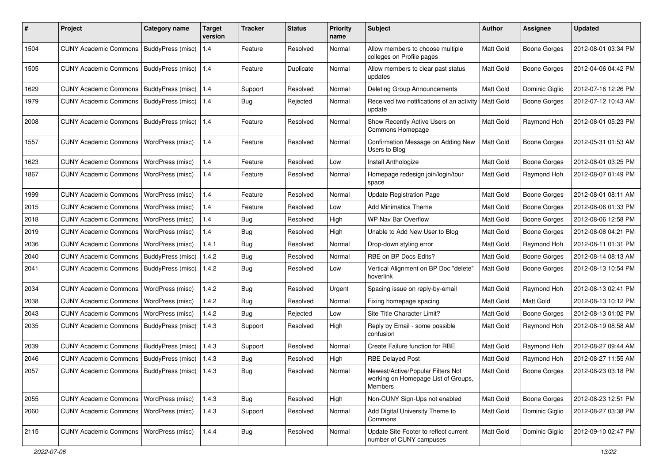| #    | Project                                           | Category name     | <b>Target</b><br>version | <b>Tracker</b> | <b>Status</b> | <b>Priority</b><br>name | Subject                                                                                    | Author           | <b>Assignee</b>     | <b>Updated</b>      |
|------|---------------------------------------------------|-------------------|--------------------------|----------------|---------------|-------------------------|--------------------------------------------------------------------------------------------|------------------|---------------------|---------------------|
| 1504 | <b>CUNY Academic Commons</b>                      | BuddyPress (misc) | 1.4                      | Feature        | Resolved      | Normal                  | Allow members to choose multiple<br>colleges on Profile pages                              | Matt Gold        | <b>Boone Gorges</b> | 2012-08-01 03:34 PM |
| 1505 | <b>CUNY Academic Commons</b>                      | BuddyPress (misc) | 1.4                      | Feature        | Duplicate     | Normal                  | Allow members to clear past status<br>updates                                              | Matt Gold        | <b>Boone Gorges</b> | 2012-04-06 04:42 PM |
| 1629 | <b>CUNY Academic Commons</b>                      | BuddyPress (misc) | 1.4                      | Support        | Resolved      | Normal                  | <b>Deleting Group Announcements</b>                                                        | Matt Gold        | Dominic Giglio      | 2012-07-16 12:26 PM |
| 1979 | <b>CUNY Academic Commons</b>                      | BuddyPress (misc) | 1.4                      | Bug            | Rejected      | Normal                  | Received two notifications of an activity<br>update                                        | <b>Matt Gold</b> | <b>Boone Gorges</b> | 2012-07-12 10:43 AM |
| 2008 | <b>CUNY Academic Commons</b>                      | BuddyPress (misc) | $1.4$                    | Feature        | Resolved      | Normal                  | Show Recently Active Users on<br>Commons Homepage                                          | Matt Gold        | Raymond Hoh         | 2012-08-01 05:23 PM |
| 1557 | <b>CUNY Academic Commons</b>                      | WordPress (misc)  | 1.4                      | Feature        | Resolved      | Normal                  | Confirmation Message on Adding New<br>Users to Blog                                        | Matt Gold        | <b>Boone Gorges</b> | 2012-05-31 01:53 AM |
| 1623 | <b>CUNY Academic Commons</b>                      | WordPress (misc)  | 1.4                      | Feature        | Resolved      | Low                     | Install Anthologize                                                                        | Matt Gold        | <b>Boone Gorges</b> | 2012-08-01 03:25 PM |
| 1867 | <b>CUNY Academic Commons</b>                      | WordPress (misc)  | 1.4                      | Feature        | Resolved      | Normal                  | Homepage redesign join/login/tour<br>space                                                 | Matt Gold        | Raymond Hoh         | 2012-08-07 01:49 PM |
| 1999 | <b>CUNY Academic Commons</b>                      | WordPress (misc)  | 1.4                      | Feature        | Resolved      | Normal                  | <b>Update Registration Page</b>                                                            | Matt Gold        | <b>Boone Gorges</b> | 2012-08-01 08:11 AM |
| 2015 | <b>CUNY Academic Commons</b>                      | WordPress (misc)  | 1.4                      | Feature        | Resolved      | Low                     | Add Minimatica Theme                                                                       | Matt Gold        | <b>Boone Gorges</b> | 2012-08-06 01:33 PM |
| 2018 | <b>CUNY Academic Commons</b>                      | WordPress (misc)  | 1.4                      | Bug            | Resolved      | High                    | WP Nav Bar Overflow                                                                        | Matt Gold        | Boone Gorges        | 2012-08-06 12:58 PM |
| 2019 | <b>CUNY Academic Commons</b>                      | WordPress (misc)  | 1.4                      | Bug            | Resolved      | High                    | Unable to Add New User to Blog                                                             | Matt Gold        | <b>Boone Gorges</b> | 2012-08-08 04:21 PM |
| 2036 | <b>CUNY Academic Commons</b>                      | WordPress (misc)  | 1.4.1                    | <b>Bug</b>     | Resolved      | Normal                  | Drop-down styling error                                                                    | Matt Gold        | Raymond Hoh         | 2012-08-11 01:31 PM |
| 2040 | <b>CUNY Academic Commons</b>                      | BuddyPress (misc) | 1.4.2                    | <b>Bug</b>     | Resolved      | Normal                  | RBE on BP Docs Edits?                                                                      | Matt Gold        | <b>Boone Gorges</b> | 2012-08-14 08:13 AM |
| 2041 | <b>CUNY Academic Commons</b>                      | BuddyPress (misc) | 1.4.2                    | Bug            | Resolved      | Low                     | Vertical Alignment on BP Doc "delete"<br>hoverlink                                         | Matt Gold        | <b>Boone Gorges</b> | 2012-08-13 10:54 PM |
| 2034 | <b>CUNY Academic Commons</b>                      | WordPress (misc)  | 1.4.2                    | Bug            | Resolved      | Urgent                  | Spacing issue on reply-by-email                                                            | Matt Gold        | Raymond Hoh         | 2012-08-13 02:41 PM |
| 2038 | <b>CUNY Academic Commons</b>                      | WordPress (misc)  | 1.4.2                    | <b>Bug</b>     | Resolved      | Normal                  | Fixing homepage spacing                                                                    | Matt Gold        | Matt Gold           | 2012-08-13 10:12 PM |
| 2043 | <b>CUNY Academic Commons</b>                      | WordPress (misc)  | 1.4.2                    | Bug            | Rejected      | Low                     | Site Title Character Limit?                                                                | Matt Gold        | Boone Gorges        | 2012-08-13 01:02 PM |
| 2035 | <b>CUNY Academic Commons</b>                      | BuddyPress (misc) | 1.4.3                    | Support        | Resolved      | High                    | Reply by Email - some possible<br>confusion                                                | Matt Gold        | Raymond Hoh         | 2012-08-19 08:58 AM |
| 2039 | <b>CUNY Academic Commons</b>                      | BuddyPress (misc) | 1.4.3                    | Support        | Resolved      | Normal                  | Create Failure function for RBE                                                            | Matt Gold        | Raymond Hoh         | 2012-08-27 09:44 AM |
| 2046 | <b>CUNY Academic Commons</b>                      | BuddyPress (misc) | 1.4.3                    | <b>Bug</b>     | Resolved      | High                    | <b>RBE Delayed Post</b>                                                                    | Matt Gold        | Raymond Hoh         | 2012-08-27 11:55 AM |
| 2057 | CUNY Academic Commons   BuddyPress (misc)   1.4.3 |                   |                          | <b>Bug</b>     | Resolved      | Normal                  | Newest/Active/Popular Filters Not<br>working on Homepage List of Groups,<br><b>Members</b> | Matt Gold        | <b>Boone Gorges</b> | 2012-08-23 03:18 PM |
| 2055 | <b>CUNY Academic Commons</b>                      | WordPress (misc)  | 1.4.3                    | <b>Bug</b>     | Resolved      | High                    | Non-CUNY Sign-Ups not enabled                                                              | Matt Gold        | <b>Boone Gorges</b> | 2012-08-23 12:51 PM |
| 2060 | <b>CUNY Academic Commons</b>                      | WordPress (misc)  | 1.4.3                    | Support        | Resolved      | Normal                  | Add Digital University Theme to<br>Commons                                                 | Matt Gold        | Dominic Giglio      | 2012-08-27 03:38 PM |
| 2115 | <b>CUNY Academic Commons</b>                      | WordPress (misc)  | 1.4.4                    | Bug            | Resolved      | Normal                  | Update Site Footer to reflect current<br>number of CUNY campuses                           | Matt Gold        | Dominic Giglio      | 2012-09-10 02:47 PM |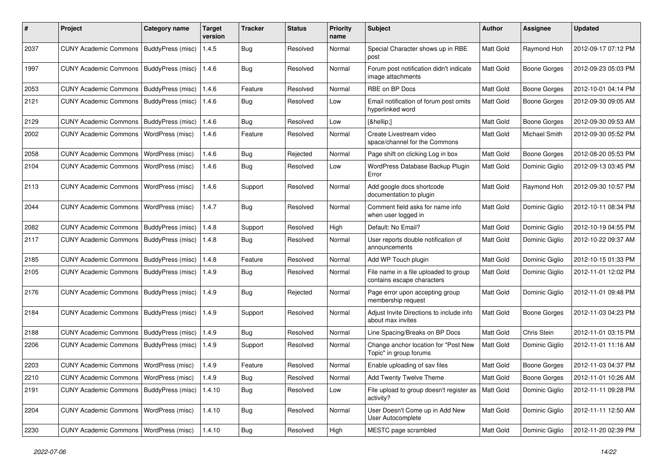| #    | Project                                   | <b>Category name</b>     | <b>Target</b><br>version | <b>Tracker</b> | <b>Status</b> | <b>Priority</b><br>name | <b>Subject</b>                                                      | <b>Author</b> | Assignee            | <b>Updated</b>      |
|------|-------------------------------------------|--------------------------|--------------------------|----------------|---------------|-------------------------|---------------------------------------------------------------------|---------------|---------------------|---------------------|
| 2037 | <b>CUNY Academic Commons</b>              | BuddyPress (misc)        | 1.4.5                    | <b>Bug</b>     | Resolved      | Normal                  | Special Character shows up in RBE<br>post                           | Matt Gold     | Raymond Hoh         | 2012-09-17 07:12 PM |
| 1997 | <b>CUNY Academic Commons</b>              | <b>BuddyPress (misc)</b> | 1.4.6                    | Bug            | Resolved      | Normal                  | Forum post notification didn't indicate<br>image attachments        | Matt Gold     | <b>Boone Gorges</b> | 2012-09-23 05:03 PM |
| 2053 | <b>CUNY Academic Commons</b>              | BuddyPress (misc)        | 1.4.6                    | Feature        | Resolved      | Normal                  | RBE on BP Docs                                                      | Matt Gold     | <b>Boone Gorges</b> | 2012-10-01 04:14 PM |
| 2121 | <b>CUNY Academic Commons</b>              | BuddyPress (misc)        | 1.4.6                    | Bug            | Resolved      | Low                     | Email notification of forum post omits<br>hyperlinked word          | Matt Gold     | <b>Boone Gorges</b> | 2012-09-30 09:05 AM |
| 2129 | <b>CUNY Academic Commons</b>              | BuddyPress (misc)        | 1.4.6                    | Bug            | Resolved      | Low                     | […]                                                                 | Matt Gold     | <b>Boone Gorges</b> | 2012-09-30 09:53 AM |
| 2002 | <b>CUNY Academic Commons</b>              | WordPress (misc)         | 1.4.6                    | Feature        | Resolved      | Normal                  | Create Livestream video<br>space/channel for the Commons            | Matt Gold     | Michael Smith       | 2012-09-30 05:52 PM |
| 2058 | <b>CUNY Academic Commons</b>              | WordPress (misc)         | 1.4.6                    | Bug            | Rejected      | Normal                  | Page shift on clicking Log in box                                   | Matt Gold     | <b>Boone Gorges</b> | 2012-08-20 05:53 PM |
| 2104 | <b>CUNY Academic Commons</b>              | WordPress (misc)         | 1.4.6                    | <b>Bug</b>     | Resolved      | Low                     | WordPress Database Backup Plugin<br>Error                           | Matt Gold     | Dominic Giglio      | 2012-09-13 03:45 PM |
| 2113 | <b>CUNY Academic Commons</b>              | WordPress (misc)         | 1.4.6                    | Support        | Resolved      | Normal                  | Add google docs shortcode<br>documentation to plugin                | Matt Gold     | Raymond Hoh         | 2012-09-30 10:57 PM |
| 2044 | <b>CUNY Academic Commons</b>              | WordPress (misc)         | 1.4.7                    | <b>Bug</b>     | Resolved      | Normal                  | Comment field asks for name info<br>when user logged in             | Matt Gold     | Dominic Giglio      | 2012-10-11 08:34 PM |
| 2082 | <b>CUNY Academic Commons</b>              | BuddyPress (misc)        | 1.4.8                    | Support        | Resolved      | High                    | Default: No Email?                                                  | Matt Gold     | Dominic Giglio      | 2012-10-19 04:55 PM |
| 2117 | <b>CUNY Academic Commons</b>              | BuddyPress (misc)        | 1.4.8                    | <b>Bug</b>     | Resolved      | Normal                  | User reports double notification of<br>announcements                | Matt Gold     | Dominic Giglio      | 2012-10-22 09:37 AM |
| 2185 | <b>CUNY Academic Commons</b>              | BuddyPress (misc)        | 1.4.8                    | Feature        | Resolved      | Normal                  | Add WP Touch plugin                                                 | Matt Gold     | Dominic Giglio      | 2012-10-15 01:33 PM |
| 2105 | <b>CUNY Academic Commons</b>              | BuddyPress (misc)        | 1.4.9                    | <b>Bug</b>     | Resolved      | Normal                  | File name in a file uploaded to group<br>contains escape characters | Matt Gold     | Dominic Giglio      | 2012-11-01 12:02 PM |
| 2176 | <b>CUNY Academic Commons</b>              | BuddyPress (misc)        | 1.4.9                    | <b>Bug</b>     | Rejected      | Normal                  | Page error upon accepting group<br>membership request               | Matt Gold     | Dominic Giglio      | 2012-11-01 09:48 PM |
| 2184 | <b>CUNY Academic Commons</b>              | BuddyPress (misc)        | 1.4.9                    | Support        | Resolved      | Normal                  | Adjust Invite Directions to include info<br>about max invites       | Matt Gold     | <b>Boone Gorges</b> | 2012-11-03 04:23 PM |
| 2188 | <b>CUNY Academic Commons</b>              | BuddyPress (misc)        | 1.4.9                    | Bug            | Resolved      | Normal                  | Line Spacing/Breaks on BP Docs                                      | Matt Gold     | Chris Stein         | 2012-11-01 03:15 PM |
| 2206 | <b>CUNY Academic Commons</b>              | BuddyPress (misc)        | 1.4.9                    | Support        | Resolved      | Normal                  | Change anchor location for "Post New<br>Topic" in group forums      | Matt Gold     | Dominic Giglio      | 2012-11-01 11:16 AM |
| 2203 | <b>CUNY Academic Commons</b>              | WordPress (misc)         | 1.4.9                    | Feature        | Resolved      | Normal                  | Enable uploading of sav files                                       | Matt Gold     | <b>Boone Gorges</b> | 2012-11-03 04:37 PM |
| 2210 | CUNY Academic Commons   WordPress (misc)  |                          | 1.4.9                    | <b>Bug</b>     | Resolved      | Normal                  | Add Twenty Twelve Theme                                             | Matt Gold     | <b>Boone Gorges</b> | 2012-11-01 10:26 AM |
| 2191 | CUNY Academic Commons   BuddyPress (misc) |                          | 1.4.10                   | <b>Bug</b>     | Resolved      | Low                     | File upload to group doesn't register as<br>activity?               | Matt Gold     | Dominic Giglio      | 2012-11-11 09:28 PM |
| 2204 | <b>CUNY Academic Commons</b>              | WordPress (misc)         | 1.4.10                   | <b>Bug</b>     | Resolved      | Normal                  | User Doesn't Come up in Add New<br>User Autocomplete                | Matt Gold     | Dominic Giglio      | 2012-11-11 12:50 AM |
| 2230 | CUNY Academic Commons   WordPress (misc)  |                          | 1.4.10                   | <b>Bug</b>     | Resolved      | High                    | MESTC page scrambled                                                | Matt Gold     | Dominic Giglio      | 2012-11-20 02:39 PM |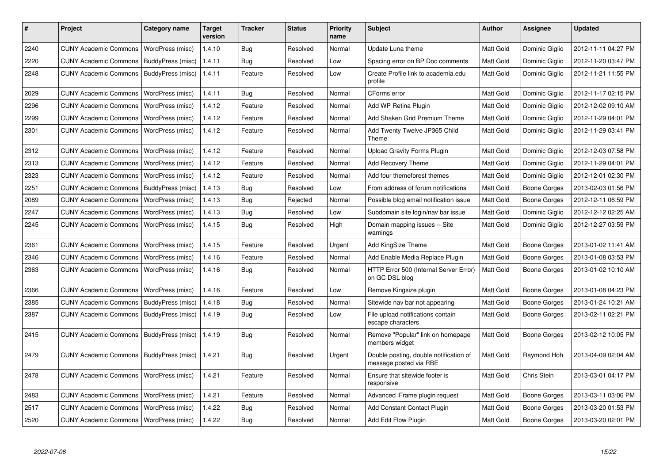| #    | <b>Project</b>               | Category name     | Target<br>version | <b>Tracker</b> | <b>Status</b> | <b>Priority</b><br>name | <b>Subject</b>                                                   | <b>Author</b>    | Assignee            | <b>Updated</b>      |
|------|------------------------------|-------------------|-------------------|----------------|---------------|-------------------------|------------------------------------------------------------------|------------------|---------------------|---------------------|
| 2240 | <b>CUNY Academic Commons</b> | WordPress (misc)  | 1.4.10            | Bug            | Resolved      | Normal                  | Update Luna theme                                                | Matt Gold        | Dominic Giglio      | 2012-11-11 04:27 PM |
| 2220 | <b>CUNY Academic Commons</b> | BuddyPress (misc) | 1.4.11            | <b>Bug</b>     | Resolved      | Low                     | Spacing error on BP Doc comments                                 | Matt Gold        | Dominic Giglio      | 2012-11-20 03:47 PM |
| 2248 | <b>CUNY Academic Commons</b> | BuddyPress (misc) | 1.4.11            | Feature        | Resolved      | Low                     | Create Profile link to academia.edu<br>profile                   | Matt Gold        | Dominic Giglio      | 2012-11-21 11:55 PM |
| 2029 | <b>CUNY Academic Commons</b> | WordPress (misc)  | 1.4.11            | Bug            | Resolved      | Normal                  | CForms error                                                     | Matt Gold        | Dominic Giglio      | 2012-11-17 02:15 PM |
| 2296 | <b>CUNY Academic Commons</b> | WordPress (misc)  | 1.4.12            | Feature        | Resolved      | Normal                  | Add WP Retina Plugin                                             | <b>Matt Gold</b> | Dominic Giglio      | 2012-12-02 09:10 AM |
| 2299 | <b>CUNY Academic Commons</b> | WordPress (misc)  | 1.4.12            | Feature        | Resolved      | Normal                  | Add Shaken Grid Premium Theme                                    | Matt Gold        | Dominic Giglio      | 2012-11-29 04:01 PM |
| 2301 | <b>CUNY Academic Commons</b> | WordPress (misc)  | 1.4.12            | Feature        | Resolved      | Normal                  | Add Twenty Twelve JP365 Child<br>Theme                           | Matt Gold        | Dominic Giglio      | 2012-11-29 03:41 PM |
| 2312 | <b>CUNY Academic Commons</b> | WordPress (misc)  | 1.4.12            | Feature        | Resolved      | Normal                  | <b>Upload Gravity Forms Plugin</b>                               | <b>Matt Gold</b> | Dominic Giglio      | 2012-12-03 07:58 PM |
| 2313 | <b>CUNY Academic Commons</b> | WordPress (misc)  | 1.4.12            | Feature        | Resolved      | Normal                  | Add Recovery Theme                                               | <b>Matt Gold</b> | Dominic Giglio      | 2012-11-29 04:01 PM |
| 2323 | <b>CUNY Academic Commons</b> | WordPress (misc)  | 1.4.12            | Feature        | Resolved      | Normal                  | Add four themeforest themes                                      | Matt Gold        | Dominic Giglio      | 2012-12-01 02:30 PM |
| 2251 | <b>CUNY Academic Commons</b> | BuddyPress (misc) | 1.4.13            | <b>Bug</b>     | Resolved      | Low                     | From address of forum notifications                              | <b>Matt Gold</b> | Boone Gorges        | 2013-02-03 01:56 PM |
| 2089 | <b>CUNY Academic Commons</b> | WordPress (misc)  | 1.4.13            | Bug            | Rejected      | Normal                  | Possible blog email notification issue                           | Matt Gold        | Boone Gorges        | 2012-12-11 06:59 PM |
| 2247 | <b>CUNY Academic Commons</b> | WordPress (misc)  | 1.4.13            | Bug            | Resolved      | Low                     | Subdomain site login/nav bar issue                               | Matt Gold        | Dominic Giglio      | 2012-12-12 02:25 AM |
| 2245 | <b>CUNY Academic Commons</b> | WordPress (misc)  | 1.4.15            | Bug            | Resolved      | High                    | Domain mapping issues -- Site<br>warnings                        | Matt Gold        | Dominic Giglio      | 2012-12-27 03:59 PM |
| 2361 | <b>CUNY Academic Commons</b> | WordPress (misc)  | 1.4.15            | Feature        | Resolved      | Urgent                  | Add KingSize Theme                                               | Matt Gold        | Boone Gorges        | 2013-01-02 11:41 AM |
| 2346 | <b>CUNY Academic Commons</b> | WordPress (misc)  | 1.4.16            | Feature        | Resolved      | Normal                  | Add Enable Media Replace Plugin                                  | <b>Matt Gold</b> | Boone Gorges        | 2013-01-08 03:53 PM |
| 2363 | <b>CUNY Academic Commons</b> | WordPress (misc)  | 1.4.16            | Bug            | Resolved      | Normal                  | HTTP Error 500 (Internal Server Error)<br>on GC DSL blog         | <b>Matt Gold</b> | Boone Gorges        | 2013-01-02 10:10 AM |
| 2366 | <b>CUNY Academic Commons</b> | WordPress (misc)  | 1.4.16            | Feature        | Resolved      | Low                     | Remove Kingsize plugin                                           | <b>Matt Gold</b> | <b>Boone Gorges</b> | 2013-01-08 04:23 PM |
| 2385 | <b>CUNY Academic Commons</b> | BuddyPress (misc) | 1.4.18            | <b>Bug</b>     | Resolved      | Normal                  | Sitewide nav bar not appearing                                   | Matt Gold        | Boone Gorges        | 2013-01-24 10:21 AM |
| 2387 | <b>CUNY Academic Commons</b> | BuddyPress (misc) | 1.4.19            | Bug            | Resolved      | Low                     | File upload notifications contain<br>escape characters           | <b>Matt Gold</b> | Boone Gorges        | 2013-02-11 02:21 PM |
| 2415 | <b>CUNY Academic Commons</b> | BuddyPress (misc) | 1.4.19            | Bug            | Resolved      | Normal                  | Remove "Popular" link on homepage<br>members widget              | Matt Gold        | Boone Gorges        | 2013-02-12 10:05 PM |
| 2479 | <b>CUNY Academic Commons</b> | BuddyPress (misc) | 1.4.21            | Bug            | Resolved      | Urgent                  | Double posting, double notification of<br>message posted via RBE | Matt Gold        | Raymond Hoh         | 2013-04-09 02:04 AM |
| 2478 | <b>CUNY Academic Commons</b> | WordPress (misc)  | 1.4.21            | Feature        | Resolved      | Normal                  | Ensure that sitewide footer is<br>responsive                     | <b>Matt Gold</b> | Chris Stein         | 2013-03-01 04:17 PM |
| 2483 | <b>CUNY Academic Commons</b> | WordPress (misc)  | 1.4.21            | Feature        | Resolved      | Normal                  | Advanced iFrame plugin request                                   | Matt Gold        | Boone Gorges        | 2013-03-11 03:06 PM |
| 2517 | <b>CUNY Academic Commons</b> | WordPress (misc)  | 1.4.22            | Bug            | Resolved      | Normal                  | Add Constant Contact Plugin                                      | <b>Matt Gold</b> | Boone Gorges        | 2013-03-20 01:53 PM |
| 2520 | <b>CUNY Academic Commons</b> | WordPress (misc)  | 1.4.22            | Bug            | Resolved      | Normal                  | Add Edit Flow Plugin                                             | Matt Gold        | Boone Gorges        | 2013-03-20 02:01 PM |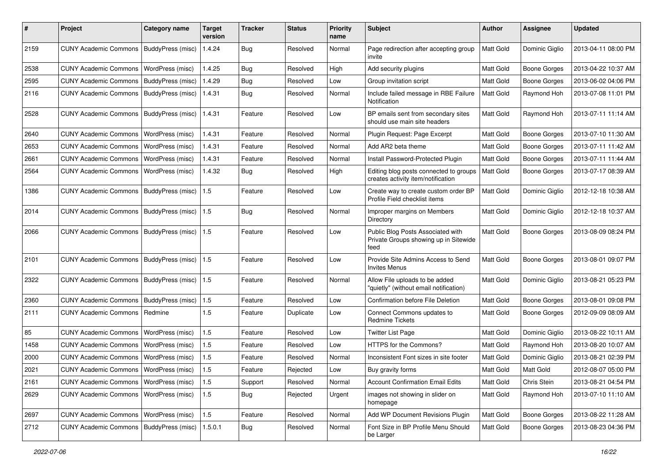| #    | Project                                   | <b>Category name</b> | Target<br>version | <b>Tracker</b> | <b>Status</b> | <b>Priority</b><br>name | Subject                                                                            | <b>Author</b> | Assignee            | <b>Updated</b>      |
|------|-------------------------------------------|----------------------|-------------------|----------------|---------------|-------------------------|------------------------------------------------------------------------------------|---------------|---------------------|---------------------|
| 2159 | <b>CUNY Academic Commons</b>              | BuddyPress (misc)    | 1.4.24            | <b>Bug</b>     | Resolved      | Normal                  | Page redirection after accepting group<br>invite                                   | Matt Gold     | Dominic Giglio      | 2013-04-11 08:00 PM |
| 2538 | <b>CUNY Academic Commons</b>              | WordPress (misc)     | 1.4.25            | Bug            | Resolved      | High                    | Add security plugins                                                               | Matt Gold     | <b>Boone Gorges</b> | 2013-04-22 10:37 AM |
| 2595 | <b>CUNY Academic Commons</b>              | BuddyPress (misc)    | 1.4.29            | <b>Bug</b>     | Resolved      | Low                     | Group invitation script                                                            | Matt Gold     | <b>Boone Gorges</b> | 2013-06-02 04:06 PM |
| 2116 | <b>CUNY Academic Commons</b>              | BuddyPress (misc)    | 1.4.31            | <b>Bug</b>     | Resolved      | Normal                  | Include failed message in RBE Failure<br>Notification                              | Matt Gold     | Raymond Hoh         | 2013-07-08 11:01 PM |
| 2528 | <b>CUNY Academic Commons</b>              | BuddyPress (misc)    | 1.4.31            | Feature        | Resolved      | Low                     | BP emails sent from secondary sites<br>should use main site headers                | Matt Gold     | Raymond Hoh         | 2013-07-11 11:14 AM |
| 2640 | <b>CUNY Academic Commons</b>              | WordPress (misc)     | 1.4.31            | Feature        | Resolved      | Normal                  | Plugin Request: Page Excerpt                                                       | Matt Gold     | <b>Boone Gorges</b> | 2013-07-10 11:30 AM |
| 2653 | <b>CUNY Academic Commons</b>              | WordPress (misc)     | 1.4.31            | Feature        | Resolved      | Normal                  | Add AR2 beta theme                                                                 | Matt Gold     | <b>Boone Gorges</b> | 2013-07-11 11:42 AM |
| 2661 | <b>CUNY Academic Commons</b>              | WordPress (misc)     | 1.4.31            | Feature        | Resolved      | Normal                  | Install Password-Protected Plugin                                                  | Matt Gold     | <b>Boone Gorges</b> | 2013-07-11 11:44 AM |
| 2564 | <b>CUNY Academic Commons</b>              | WordPress (misc)     | 1.4.32            | Bug            | Resolved      | High                    | Editing blog posts connected to groups<br>creates activity item/notification       | Matt Gold     | <b>Boone Gorges</b> | 2013-07-17 08:39 AM |
| 1386 | <b>CUNY Academic Commons</b>              | BuddyPress (misc)    | 1.5               | Feature        | Resolved      | Low                     | Create way to create custom order BP<br>Profile Field checklist items              | Matt Gold     | Dominic Giglio      | 2012-12-18 10:38 AM |
| 2014 | <b>CUNY Academic Commons</b>              | BuddyPress (misc)    | 1.5               | Bug            | Resolved      | Normal                  | Improper margins on Members<br>Directory                                           | Matt Gold     | Dominic Giglio      | 2012-12-18 10:37 AM |
| 2066 | <b>CUNY Academic Commons</b>              | BuddyPress (misc)    | 1.5               | Feature        | Resolved      | Low                     | Public Blog Posts Associated with<br>Private Groups showing up in Sitewide<br>feed | Matt Gold     | <b>Boone Gorges</b> | 2013-08-09 08:24 PM |
| 2101 | <b>CUNY Academic Commons</b>              | BuddyPress (misc)    | 1.5               | Feature        | Resolved      | Low                     | Provide Site Admins Access to Send<br><b>Invites Menus</b>                         | Matt Gold     | <b>Boone Gorges</b> | 2013-08-01 09:07 PM |
| 2322 | <b>CUNY Academic Commons</b>              | BuddyPress (misc)    | $\vert$ 1.5       | Feature        | Resolved      | Normal                  | Allow File uploads to be added<br>"quietly" (without email notification)           | Matt Gold     | Dominic Giglio      | 2013-08-21 05:23 PM |
| 2360 | <b>CUNY Academic Commons</b>              | BuddyPress (misc)    | 1.5               | Feature        | Resolved      | Low                     | Confirmation before File Deletion                                                  | Matt Gold     | <b>Boone Gorges</b> | 2013-08-01 09:08 PM |
| 2111 | <b>CUNY Academic Commons</b>              | Redmine              | 1.5               | Feature        | Duplicate     | Low                     | Connect Commons updates to<br><b>Redmine Tickets</b>                               | Matt Gold     | Boone Gorges        | 2012-09-09 08:09 AM |
| 85   | <b>CUNY Academic Commons</b>              | WordPress (misc)     | 1.5               | Feature        | Resolved      | Low                     | <b>Twitter List Page</b>                                                           | Matt Gold     | Dominic Giglio      | 2013-08-22 10:11 AM |
| 1458 | <b>CUNY Academic Commons</b>              | WordPress (misc)     | $1.5\,$           | Feature        | Resolved      | Low                     | HTTPS for the Commons?                                                             | Matt Gold     | Raymond Hoh         | 2013-08-20 10:07 AM |
| 2000 | <b>CUNY Academic Commons</b>              | WordPress (misc)     | 1.5               | Feature        | Resolved      | Normal                  | Inconsistent Font sizes in site footer                                             | Matt Gold     | Dominic Giglio      | 2013-08-21 02:39 PM |
| 2021 | CUNY Academic Commons   WordPress (misc)  |                      | 1.5               | Feature        | Rejected      | Low                     | Buy gravity forms                                                                  | Matt Gold     | Matt Gold           | 2012-08-07 05:00 PM |
| 2161 | <b>CUNY Academic Commons</b>              | WordPress (misc)     | 1.5               | Support        | Resolved      | Normal                  | <b>Account Confirmation Email Edits</b>                                            | Matt Gold     | Chris Stein         | 2013-08-21 04:54 PM |
| 2629 | <b>CUNY Academic Commons</b>              | WordPress (misc)     | $1.5\,$           | Bug            | Rejected      | Urgent                  | images not showing in slider on<br>homepage                                        | Matt Gold     | Raymond Hoh         | 2013-07-10 11:10 AM |
| 2697 | <b>CUNY Academic Commons</b>              | WordPress (misc)     | 1.5               | Feature        | Resolved      | Normal                  | Add WP Document Revisions Plugin                                                   | Matt Gold     | Boone Gorges        | 2013-08-22 11:28 AM |
| 2712 | CUNY Academic Commons   BuddyPress (misc) |                      | 1.5.0.1           | <b>Bug</b>     | Resolved      | Normal                  | Font Size in BP Profile Menu Should<br>be Larger                                   | Matt Gold     | Boone Gorges        | 2013-08-23 04:36 PM |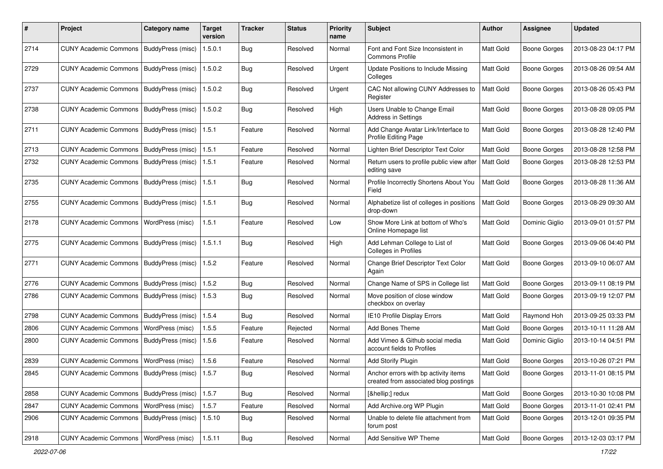| #    | Project                                           | Category name     | <b>Target</b><br>version | <b>Tracker</b> | <b>Status</b> | <b>Priority</b><br>name | <b>Subject</b>                                                                | Author    | <b>Assignee</b>     | <b>Updated</b>      |
|------|---------------------------------------------------|-------------------|--------------------------|----------------|---------------|-------------------------|-------------------------------------------------------------------------------|-----------|---------------------|---------------------|
| 2714 | <b>CUNY Academic Commons</b>                      | BuddyPress (misc) | 1.5.0.1                  | <b>Bug</b>     | Resolved      | Normal                  | Font and Font Size Inconsistent in<br><b>Commons Profile</b>                  | Matt Gold | <b>Boone Gorges</b> | 2013-08-23 04:17 PM |
| 2729 | <b>CUNY Academic Commons</b>                      | BuddyPress (misc) | 1.5.0.2                  | Bug            | Resolved      | Urgent                  | Update Positions to Include Missing<br>Colleges                               | Matt Gold | <b>Boone Gorges</b> | 2013-08-26 09:54 AM |
| 2737 | <b>CUNY Academic Commons</b>                      | BuddyPress (misc) | 1.5.0.2                  | Bug            | Resolved      | Urgent                  | CAC Not allowing CUNY Addresses to<br>Register                                | Matt Gold | Boone Gorges        | 2013-08-26 05:43 PM |
| 2738 | <b>CUNY Academic Commons</b>                      | BuddyPress (misc) | 1.5.0.2                  | Bug            | Resolved      | High                    | Users Unable to Change Email<br><b>Address in Settings</b>                    | Matt Gold | <b>Boone Gorges</b> | 2013-08-28 09:05 PM |
| 2711 | <b>CUNY Academic Commons</b>                      | BuddyPress (misc) | 1.5.1                    | Feature        | Resolved      | Normal                  | Add Change Avatar Link/Interface to<br>Profile Editing Page                   | Matt Gold | <b>Boone Gorges</b> | 2013-08-28 12:40 PM |
| 2713 | <b>CUNY Academic Commons</b>                      | BuddyPress (misc) | 1.5.1                    | Feature        | Resolved      | Normal                  | Lighten Brief Descriptor Text Color                                           | Matt Gold | <b>Boone Gorges</b> | 2013-08-28 12:58 PM |
| 2732 | <b>CUNY Academic Commons</b>                      | BuddyPress (misc) | 1.5.1                    | Feature        | Resolved      | Normal                  | Return users to profile public view after<br>editing save                     | Matt Gold | <b>Boone Gorges</b> | 2013-08-28 12:53 PM |
| 2735 | <b>CUNY Academic Commons</b>                      | BuddyPress (misc) | 1.5.1                    | Bug            | Resolved      | Normal                  | Profile Incorrectly Shortens About You<br>Field                               | Matt Gold | <b>Boone Gorges</b> | 2013-08-28 11:36 AM |
| 2755 | <b>CUNY Academic Commons</b>                      | BuddyPress (misc) | 1.5.1                    | Bug            | Resolved      | Normal                  | Alphabetize list of colleges in positions<br>drop-down                        | Matt Gold | <b>Boone Gorges</b> | 2013-08-29 09:30 AM |
| 2178 | <b>CUNY Academic Commons</b>                      | WordPress (misc)  | 1.5.1                    | Feature        | Resolved      | Low                     | Show More Link at bottom of Who's<br>Online Homepage list                     | Matt Gold | Dominic Giglio      | 2013-09-01 01:57 PM |
| 2775 | <b>CUNY Academic Commons</b>                      | BuddyPress (misc) | 1.5.1.1                  | Bug            | Resolved      | High                    | Add Lehman College to List of<br><b>Colleges in Profiles</b>                  | Matt Gold | <b>Boone Gorges</b> | 2013-09-06 04:40 PM |
| 2771 | <b>CUNY Academic Commons</b>                      | BuddyPress (misc) | 1.5.2                    | Feature        | Resolved      | Normal                  | Change Brief Descriptor Text Color<br>Again                                   | Matt Gold | <b>Boone Gorges</b> | 2013-09-10 06:07 AM |
| 2776 | <b>CUNY Academic Commons</b>                      | BuddyPress (misc) | 1.5.2                    | Bug            | Resolved      | Normal                  | Change Name of SPS in College list                                            | Matt Gold | <b>Boone Gorges</b> | 2013-09-11 08:19 PM |
| 2786 | <b>CUNY Academic Commons</b>                      | BuddyPress (misc) | 1.5.3                    | <b>Bug</b>     | Resolved      | Normal                  | Move position of close window<br>checkbox on overlay                          | Matt Gold | <b>Boone Gorges</b> | 2013-09-19 12:07 PM |
| 2798 | <b>CUNY Academic Commons</b>                      | BuddyPress (misc) | 1.5.4                    | Bug            | Resolved      | Normal                  | IE10 Profile Display Errors                                                   | Matt Gold | Raymond Hoh         | 2013-09-25 03:33 PM |
| 2806 | <b>CUNY Academic Commons</b>                      | WordPress (misc)  | 1.5.5                    | Feature        | Rejected      | Normal                  | Add Bones Theme                                                               | Matt Gold | <b>Boone Gorges</b> | 2013-10-11 11:28 AM |
| 2800 | <b>CUNY Academic Commons</b>                      | BuddyPress (misc) | 1.5.6                    | Feature        | Resolved      | Normal                  | Add Vimeo & Github social media<br>account fields to Profiles                 | Matt Gold | Dominic Giglio      | 2013-10-14 04:51 PM |
| 2839 | <b>CUNY Academic Commons</b>                      | WordPress (misc)  | 1.5.6                    | Feature        | Resolved      | Normal                  | Add Storify Plugin                                                            | Matt Gold | <b>Boone Gorges</b> | 2013-10-26 07:21 PM |
| 2845 | CUNY Academic Commons   BuddyPress (misc)   1.5.7 |                   |                          | Bug            | Resolved      | Normal                  | Anchor errors with bp activity items<br>created from associated blog postings | Matt Gold | Boone Gorges        | 2013-11-01 08:15 PM |
| 2858 | CUNY Academic Commons   BuddyPress (misc)         |                   | 1.5.7                    | Bug            | Resolved      | Normal                  | […] redux                                                                     | Matt Gold | Boone Gorges        | 2013-10-30 10:08 PM |
| 2847 | <b>CUNY Academic Commons</b>                      | WordPress (misc)  | 1.5.7                    | Feature        | Resolved      | Normal                  | Add Archive.org WP Plugin                                                     | Matt Gold | <b>Boone Gorges</b> | 2013-11-01 02:41 PM |
| 2906 | CUNY Academic Commons   BuddyPress (misc)         |                   | 1.5.10                   | Bug            | Resolved      | Normal                  | Unable to delete file attachment from<br>forum post                           | Matt Gold | <b>Boone Gorges</b> | 2013-12-01 09:35 PM |
| 2918 | CUNY Academic Commons   WordPress (misc)          |                   | 1.5.11                   | <b>Bug</b>     | Resolved      | Normal                  | Add Sensitive WP Theme                                                        | Matt Gold | <b>Boone Gorges</b> | 2013-12-03 03:17 PM |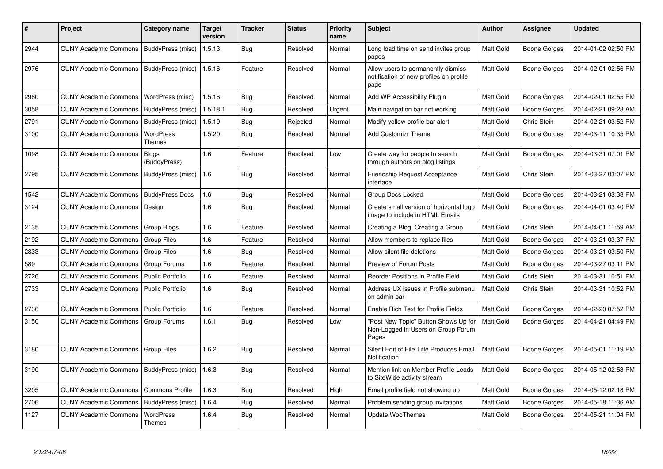| ∦    | Project                                   | Category name              | <b>Target</b><br>version | Tracker    | <b>Status</b> | <b>Priority</b><br>name | <b>Subject</b>                                                                        | <b>Author</b>    | Assignee            | <b>Updated</b>      |
|------|-------------------------------------------|----------------------------|--------------------------|------------|---------------|-------------------------|---------------------------------------------------------------------------------------|------------------|---------------------|---------------------|
| 2944 | CUNY Academic Commons   BuddyPress (misc) |                            | 1.5.13                   | <b>Bug</b> | Resolved      | Normal                  | Long load time on send invites group<br>pages                                         | <b>Matt Gold</b> | Boone Gorges        | 2014-01-02 02:50 PM |
| 2976 | CUNY Academic Commons   BuddyPress (misc) |                            | 1.5.16                   | Feature    | Resolved      | Normal                  | Allow users to permanently dismiss<br>notification of new profiles on profile<br>page | Matt Gold        | Boone Gorges        | 2014-02-01 02:56 PM |
| 2960 | <b>CUNY Academic Commons</b>              | WordPress (misc)           | 1.5.16                   | Bug        | Resolved      | Normal                  | Add WP Accessibility Plugin                                                           | <b>Matt Gold</b> | <b>Boone Gorges</b> | 2014-02-01 02:55 PM |
| 3058 | <b>CUNY Academic Commons</b>              | BuddyPress (misc)          | 1.5.18.1                 | Bug        | Resolved      | Urgent                  | Main navigation bar not working                                                       | Matt Gold        | Boone Gorges        | 2014-02-21 09:28 AM |
| 2791 | <b>CUNY Academic Commons</b>              | BuddyPress (misc)          | 1.5.19                   | <b>Bug</b> | Rejected      | Normal                  | Modify yellow profile bar alert                                                       | Matt Gold        | Chris Stein         | 2014-02-21 03:52 PM |
| 3100 | <b>CUNY Academic Commons</b>              | WordPress<br>Themes        | 1.5.20                   | Bug        | Resolved      | Normal                  | <b>Add Customizr Theme</b>                                                            | Matt Gold        | Boone Gorges        | 2014-03-11 10:35 PM |
| 1098 | <b>CUNY Academic Commons</b>              | Blogs<br>(BuddyPress)      | 1.6                      | Feature    | Resolved      | Low                     | Create way for people to search<br>through authors on blog listings                   | <b>Matt Gold</b> | Boone Gorges        | 2014-03-31 07:01 PM |
| 2795 | <b>CUNY Academic Commons</b>              | BuddyPress (misc)          | 1.6                      | <b>Bug</b> | Resolved      | Normal                  | Friendship Request Acceptance<br>interface                                            | <b>Matt Gold</b> | Chris Stein         | 2014-03-27 03:07 PM |
| 1542 | <b>CUNY Academic Commons</b>              | <b>BuddyPress Docs</b>     | 1.6                      | Bug        | Resolved      | Normal                  | Group Docs Locked                                                                     | Matt Gold        | <b>Boone Gorges</b> | 2014-03-21 03:38 PM |
| 3124 | <b>CUNY Academic Commons</b>              | Design                     | 1.6                      | <b>Bug</b> | Resolved      | Normal                  | Create small version of horizontal logo<br>image to include in HTML Emails            | Matt Gold        | Boone Gorges        | 2014-04-01 03:40 PM |
| 2135 | <b>CUNY Academic Commons</b>              | Group Blogs                | 1.6                      | Feature    | Resolved      | Normal                  | Creating a Blog, Creating a Group                                                     | <b>Matt Gold</b> | Chris Stein         | 2014-04-01 11:59 AM |
| 2192 | <b>CUNY Academic Commons</b>              | <b>Group Files</b>         | 1.6                      | Feature    | Resolved      | Normal                  | Allow members to replace files                                                        | Matt Gold        | Boone Gorges        | 2014-03-21 03:37 PM |
| 2833 | <b>CUNY Academic Commons</b>              | <b>Group Files</b>         | 1.6                      | <b>Bug</b> | Resolved      | Normal                  | Allow silent file deletions                                                           | Matt Gold        | <b>Boone Gorges</b> | 2014-03-21 03:50 PM |
| 589  | <b>CUNY Academic Commons</b>              | Group Forums               | 1.6                      | Feature    | Resolved      | Normal                  | Preview of Forum Posts                                                                | Matt Gold        | Boone Gorges        | 2014-03-27 03:11 PM |
| 2726 | <b>CUNY Academic Commons</b>              | <b>Public Portfolio</b>    | 1.6                      | Feature    | Resolved      | Normal                  | Reorder Positions in Profile Field                                                    | <b>Matt Gold</b> | Chris Stein         | 2014-03-31 10:51 PM |
| 2733 | <b>CUNY Academic Commons</b>              | <b>Public Portfolio</b>    | 1.6                      | Bug        | Resolved      | Normal                  | Address UX issues in Profile submenu<br>on admin bar                                  | Matt Gold        | Chris Stein         | 2014-03-31 10:52 PM |
| 2736 | <b>CUNY Academic Commons</b>              | <b>Public Portfolio</b>    | 1.6                      | Feature    | Resolved      | Normal                  | Enable Rich Text for Profile Fields                                                   | Matt Gold        | <b>Boone Gorges</b> | 2014-02-20 07:52 PM |
| 3150 | <b>CUNY Academic Commons</b>              | Group Forums               | 1.6.1                    | <b>Bug</b> | Resolved      | Low                     | 'Post New Topic" Button Shows Up for<br>Non-Logged in Users on Group Forum<br>Pages   | <b>Matt Gold</b> | Boone Gorges        | 2014-04-21 04:49 PM |
| 3180 | <b>CUNY Academic Commons</b>              | Group Files                | 1.6.2                    | <b>Bug</b> | Resolved      | Normal                  | Silent Edit of File Title Produces Email<br>Notification                              | Matt Gold        | Boone Gorges        | 2014-05-01 11:19 PM |
| 3190 | <b>CUNY Academic Commons</b>              | BuddyPress (misc)          | 1.6.3                    | Bug        | Resolved      | Normal                  | Mention link on Member Profile Leads<br>to SiteWide activity stream                   | Matt Gold        | Boone Gorges        | 2014-05-12 02:53 PM |
| 3205 | <b>CUNY Academic Commons</b>              | <b>Commons Profile</b>     | 1.6.3                    | Bug        | Resolved      | High                    | Email profile field not showing up                                                    | <b>Matt Gold</b> | Boone Gorges        | 2014-05-12 02:18 PM |
| 2706 | <b>CUNY Academic Commons</b>              | BuddyPress (misc)          | 1.6.4                    | <b>Bug</b> | Resolved      | Normal                  | Problem sending group invitations                                                     | Matt Gold        | Boone Gorges        | 2014-05-18 11:36 AM |
| 1127 | <b>CUNY Academic Commons</b>              | <b>WordPress</b><br>Themes | 1.6.4                    | <b>Bug</b> | Resolved      | Normal                  | <b>Update WooThemes</b>                                                               | <b>Matt Gold</b> | Boone Gorges        | 2014-05-21 11:04 PM |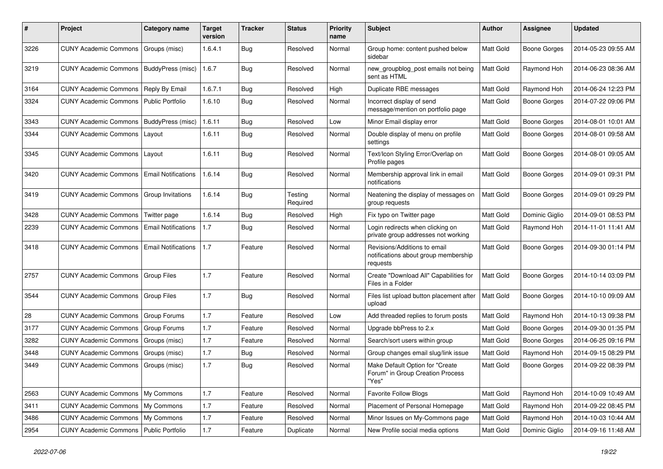| #    | Project                                   | <b>Category name</b>       | <b>Target</b><br>version | <b>Tracker</b> | <b>Status</b>       | <b>Priority</b><br>name | Subject                                                                          | Author    | Assignee            | <b>Updated</b>      |
|------|-------------------------------------------|----------------------------|--------------------------|----------------|---------------------|-------------------------|----------------------------------------------------------------------------------|-----------|---------------------|---------------------|
| 3226 | CUNY Academic Commons                     | Groups (misc)              | 1.6.4.1                  | Bug            | Resolved            | Normal                  | Group home: content pushed below<br>sidebar                                      | Matt Gold | Boone Gorges        | 2014-05-23 09:55 AM |
| 3219 | <b>CUNY Academic Commons</b>              | BuddyPress (misc)          | 1.6.7                    | Bug            | Resolved            | Normal                  | new_groupblog_post emails not being<br>sent as HTML                              | Matt Gold | Raymond Hoh         | 2014-06-23 08:36 AM |
| 3164 | <b>CUNY Academic Commons</b>              | Reply By Email             | 1.6.7.1                  | Bug            | Resolved            | High                    | Duplicate RBE messages                                                           | Matt Gold | Raymond Hoh         | 2014-06-24 12:23 PM |
| 3324 | CUNY Academic Commons   Public Portfolio  |                            | 1.6.10                   | Bug            | Resolved            | Normal                  | Incorrect display of send<br>message/mention on portfolio page                   | Matt Gold | Boone Gorges        | 2014-07-22 09:06 PM |
| 3343 | CUNY Academic Commons   BuddyPress (misc) |                            | 1.6.11                   | Bug            | Resolved            | Low                     | Minor Email display error                                                        | Matt Gold | <b>Boone Gorges</b> | 2014-08-01 10:01 AM |
| 3344 | <b>CUNY Academic Commons</b>              | Layout                     | 1.6.11                   | <b>Bug</b>     | Resolved            | Normal                  | Double display of menu on profile<br>settings                                    | Matt Gold | Boone Gorges        | 2014-08-01 09:58 AM |
| 3345 | <b>CUNY Academic Commons</b>              | Layout                     | 1.6.11                   | Bug            | Resolved            | Normal                  | Text/Icon Styling Error/Overlap on<br>Profile pages                              | Matt Gold | <b>Boone Gorges</b> | 2014-08-01 09:05 AM |
| 3420 | <b>CUNY Academic Commons</b>              | <b>Email Notifications</b> | 1.6.14                   | Bug            | Resolved            | Normal                  | Membership approval link in email<br>notifications                               | Matt Gold | Boone Gorges        | 2014-09-01 09:31 PM |
| 3419 | <b>CUNY Academic Commons</b>              | Group Invitations          | 1.6.14                   | Bug            | Testing<br>Required | Normal                  | Neatening the display of messages on<br>group requests                           | Matt Gold | <b>Boone Gorges</b> | 2014-09-01 09:29 PM |
| 3428 | <b>CUNY Academic Commons</b>              | Twitter page               | 1.6.14                   | Bug            | Resolved            | High                    | Fix typo on Twitter page                                                         | Matt Gold | Dominic Giglio      | 2014-09-01 08:53 PM |
| 2239 | <b>CUNY Academic Commons</b>              | <b>Email Notifications</b> | 1.7                      | Bug            | Resolved            | Normal                  | Login redirects when clicking on<br>private group addresses not working          | Matt Gold | Raymond Hoh         | 2014-11-01 11:41 AM |
| 3418 | <b>CUNY Academic Commons</b>              | <b>Email Notifications</b> | 1.7                      | Feature        | Resolved            | Normal                  | Revisions/Additions to email<br>notifications about group membership<br>requests | Matt Gold | Boone Gorges        | 2014-09-30 01:14 PM |
| 2757 | CUNY Academic Commons   Group Files       |                            | 1.7                      | Feature        | Resolved            | Normal                  | Create "Download All" Capabilities for<br>Files in a Folder                      | Matt Gold | <b>Boone Gorges</b> | 2014-10-14 03:09 PM |
| 3544 | <b>CUNY Academic Commons</b>              | Group Files                | 1.7                      | Bug            | Resolved            | Normal                  | Files list upload button placement after<br>upload                               | Matt Gold | Boone Gorges        | 2014-10-10 09:09 AM |
| 28   | <b>CUNY Academic Commons</b>              | Group Forums               | 1.7                      | Feature        | Resolved            | Low                     | Add threaded replies to forum posts                                              | Matt Gold | Raymond Hoh         | 2014-10-13 09:38 PM |
| 3177 | <b>CUNY Academic Commons</b>              | Group Forums               | 1.7                      | Feature        | Resolved            | Normal                  | Upgrade bbPress to 2.x                                                           | Matt Gold | Boone Gorges        | 2014-09-30 01:35 PM |
| 3282 | <b>CUNY Academic Commons</b>              | Groups (misc)              | 1.7                      | Feature        | Resolved            | Normal                  | Search/sort users within group                                                   | Matt Gold | <b>Boone Gorges</b> | 2014-06-25 09:16 PM |
| 3448 | <b>CUNY Academic Commons</b>              | Groups (misc)              | 1.7                      | <b>Bug</b>     | Resolved            | Normal                  | Group changes email slug/link issue                                              | Matt Gold | Raymond Hoh         | 2014-09-15 08:29 PM |
| 3449 | CUNY Academic Commons   Groups (misc)     |                            | 1.7                      | Bug            | Resolved            | Normal                  | Make Default Option for "Create<br>Forum" in Group Creation Process<br>"Yes"     | Matt Gold | Boone Gorges        | 2014-09-22 08:39 PM |
| 2563 | CUNY Academic Commons   My Commons        |                            | 1.7                      | Feature        | Resolved            | Normal                  | Favorite Follow Blogs                                                            | Matt Gold | Raymond Hoh         | 2014-10-09 10:49 AM |
| 3411 | CUNY Academic Commons   My Commons        |                            | 1.7                      | Feature        | Resolved            | Normal                  | Placement of Personal Homepage                                                   | Matt Gold | Raymond Hoh         | 2014-09-22 08:45 PM |
| 3486 | CUNY Academic Commons   My Commons        |                            | 1.7                      | Feature        | Resolved            | Normal                  | Minor Issues on My-Commons page                                                  | Matt Gold | Raymond Hoh         | 2014-10-03 10:44 AM |
| 2954 | CUNY Academic Commons   Public Portfolio  |                            | $1.7\,$                  | Feature        | Duplicate           | Normal                  | New Profile social media options                                                 | Matt Gold | Dominic Giglio      | 2014-09-16 11:48 AM |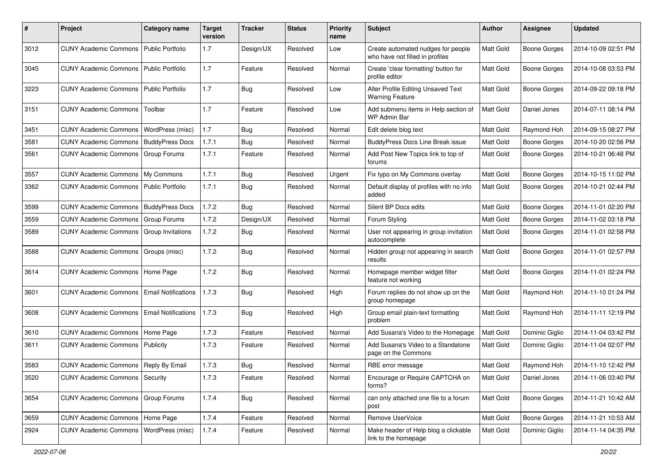| #    | Project                              | <b>Category name</b>       | <b>Target</b><br>version | Tracker    | <b>Status</b> | <b>Priority</b><br>name | <b>Subject</b>                                                        | <b>Author</b> | <b>Assignee</b>     | <b>Updated</b>      |
|------|--------------------------------------|----------------------------|--------------------------|------------|---------------|-------------------------|-----------------------------------------------------------------------|---------------|---------------------|---------------------|
| 3012 | <b>CUNY Academic Commons</b>         | Public Portfolio           | 1.7                      | Design/UX  | Resolved      | Low                     | Create automated nudges for people<br>who have not filled in profiles | Matt Gold     | <b>Boone Gorges</b> | 2014-10-09 02:51 PM |
| 3045 | <b>CUNY Academic Commons</b>         | <b>Public Portfolio</b>    | 1.7                      | Feature    | Resolved      | Normal                  | Create 'clear formatting' button for<br>profile editor                | Matt Gold     | <b>Boone Gorges</b> | 2014-10-08 03:53 PM |
| 3223 | <b>CUNY Academic Commons</b>         | <b>Public Portfolio</b>    | 1.7                      | Bug        | Resolved      | Low                     | Alter Profile Editing Unsaved Text<br><b>Warning Feature</b>          | Matt Gold     | <b>Boone Gorges</b> | 2014-09-22 09:18 PM |
| 3151 | <b>CUNY Academic Commons</b>         | Toolbar                    | 1.7                      | Feature    | Resolved      | Low                     | Add submenu items in Help section of<br>WP Admin Bar                  | Matt Gold     | Daniel Jones        | 2014-07-11 08:14 PM |
| 3451 | <b>CUNY Academic Commons</b>         | WordPress (misc)           | 1.7                      | <b>Bug</b> | Resolved      | Normal                  | Edit delete blog text                                                 | Matt Gold     | Raymond Hoh         | 2014-09-15 08:27 PM |
| 3581 | <b>CUNY Academic Commons</b>         | <b>BuddyPress Docs</b>     | 1.7.1                    | <b>Bug</b> | Resolved      | Normal                  | BuddyPress Docs Line Break issue                                      | Matt Gold     | <b>Boone Gorges</b> | 2014-10-20 02:56 PM |
| 3561 | <b>CUNY Academic Commons</b>         | Group Forums               | 1.7.1                    | Feature    | Resolved      | Normal                  | Add Post New Topics link to top of<br>forums                          | Matt Gold     | <b>Boone Gorges</b> | 2014-10-21 06:48 PM |
| 3557 | <b>CUNY Academic Commons</b>         | My Commons                 | 1.7.1                    | Bug        | Resolved      | Urgent                  | Fix typo on My Commons overlay                                        | Matt Gold     | <b>Boone Gorges</b> | 2014-10-15 11:02 PM |
| 3362 | <b>CUNY Academic Commons</b>         | <b>Public Portfolio</b>    | 1.7.1                    | Bug        | Resolved      | Normal                  | Default display of profiles with no info<br>added                     | Matt Gold     | <b>Boone Gorges</b> | 2014-10-21 02:44 PM |
| 3599 | <b>CUNY Academic Commons</b>         | <b>BuddyPress Docs</b>     | 1.7.2                    | Bug        | Resolved      | Normal                  | Silent BP Docs edits                                                  | Matt Gold     | <b>Boone Gorges</b> | 2014-11-01 02:20 PM |
| 3559 | <b>CUNY Academic Commons</b>         | <b>Group Forums</b>        | 1.7.2                    | Design/UX  | Resolved      | Normal                  | Forum Styling                                                         | Matt Gold     | Boone Gorges        | 2014-11-02 03:18 PM |
| 3589 | <b>CUNY Academic Commons</b>         | Group Invitations          | 1.7.2                    | <b>Bug</b> | Resolved      | Normal                  | User not appearing in group invitation<br>autocomplete                | Matt Gold     | <b>Boone Gorges</b> | 2014-11-01 02:58 PM |
| 3588 | <b>CUNY Academic Commons</b>         | Groups (misc)              | 1.7.2                    | <b>Bug</b> | Resolved      | Normal                  | Hidden group not appearing in search<br>results                       | Matt Gold     | <b>Boone Gorges</b> | 2014-11-01 02:57 PM |
| 3614 | <b>CUNY Academic Commons</b>         | Home Page                  | 1.7.2                    | Bug        | Resolved      | Normal                  | Homepage member widget filter<br>feature not working                  | Matt Gold     | <b>Boone Gorges</b> | 2014-11-01 02:24 PM |
| 3601 | <b>CUNY Academic Commons</b>         | <b>Email Notifications</b> | 1.7.3                    | Bug        | Resolved      | High                    | Forum replies do not show up on the<br>group homepage                 | Matt Gold     | Raymond Hoh         | 2014-11-10 01:24 PM |
| 3608 | <b>CUNY Academic Commons</b>         | <b>Email Notifications</b> | 1.7.3                    | Bug        | Resolved      | High                    | Group email plain-text formatting<br>problem                          | Matt Gold     | Raymond Hoh         | 2014-11-11 12:19 PM |
| 3610 | <b>CUNY Academic Commons</b>         | Home Page                  | 1.7.3                    | Feature    | Resolved      | Normal                  | Add Susana's Video to the Homepage                                    | Matt Gold     | Dominic Giglio      | 2014-11-04 03:42 PM |
| 3611 | <b>CUNY Academic Commons</b>         | Publicity                  | 1.7.3                    | Feature    | Resolved      | Normal                  | Add Susana's Video to a Standalone<br>page on the Commons             | Matt Gold     | Dominic Giglio      | 2014-11-04 02:07 PM |
| 3583 | <b>CUNY Academic Commons</b>         | Reply By Email             | 1.7.3                    | Bug        | Resolved      | Normal                  | RBE error message                                                     | Matt Gold     | Raymond Hoh         | 2014-11-10 12:42 PM |
| 3520 | CUNY Academic Commons   Security     |                            | 1.7.3                    | Feature    | Resolved      | Normal                  | Encourage or Require CAPTCHA on<br>forms?                             | Matt Gold     | Daniel Jones        | 2014-11-06 03:40 PM |
| 3654 | CUNY Academic Commons   Group Forums |                            | 1.7.4                    | <b>Bug</b> | Resolved      | Normal                  | can only attached one file to a forum<br>post                         | Matt Gold     | Boone Gorges        | 2014-11-21 10:42 AM |
| 3659 | CUNY Academic Commons   Home Page    |                            | 1.7.4                    | Feature    | Resolved      | Normal                  | Remove UserVoice                                                      | Matt Gold     | Boone Gorges        | 2014-11-21 10:53 AM |
| 2924 | <b>CUNY Academic Commons</b>         | WordPress (misc)           | 1.7.4                    | Feature    | Resolved      | Normal                  | Make header of Help blog a clickable<br>link to the homepage          | Matt Gold     | Dominic Giglio      | 2014-11-14 04:35 PM |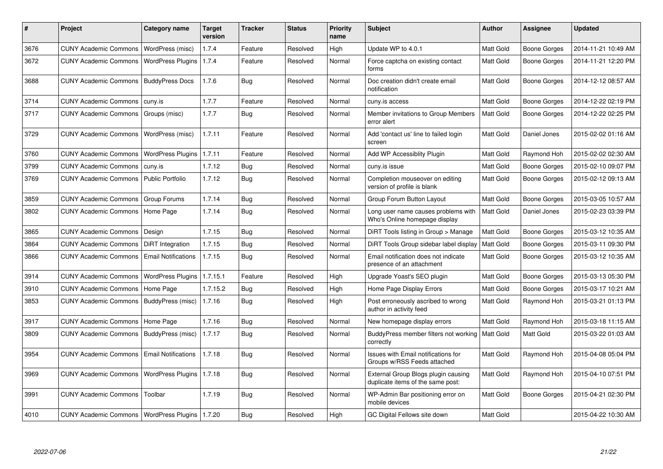| #    | Project                                            | <b>Category name</b>       | <b>Target</b><br>version | <b>Tracker</b> | <b>Status</b> | <b>Priority</b><br>name | <b>Subject</b>                                                           | Author           | Assignee            | <b>Updated</b>      |
|------|----------------------------------------------------|----------------------------|--------------------------|----------------|---------------|-------------------------|--------------------------------------------------------------------------|------------------|---------------------|---------------------|
| 3676 | <b>CUNY Academic Commons</b>                       | WordPress (misc)           | 1.7.4                    | Feature        | Resolved      | High                    | Update WP to 4.0.1                                                       | Matt Gold        | <b>Boone Gorges</b> | 2014-11-21 10:49 AM |
| 3672 | <b>CUNY Academic Commons</b>                       | <b>WordPress Plugins</b>   | 1.7.4                    | Feature        | Resolved      | Normal                  | Force captcha on existing contact<br>forms                               | <b>Matt Gold</b> | Boone Gorges        | 2014-11-21 12:20 PM |
| 3688 | <b>CUNY Academic Commons</b>                       | <b>BuddyPress Docs</b>     | 1.7.6                    | Bug            | Resolved      | Normal                  | Doc creation didn't create email<br>notification                         | Matt Gold        | Boone Gorges        | 2014-12-12 08:57 AM |
| 3714 | <b>CUNY Academic Commons</b>                       | cuny.is                    | 1.7.7                    | Feature        | Resolved      | Normal                  | cuny.is access                                                           | Matt Gold        | Boone Gorges        | 2014-12-22 02:19 PM |
| 3717 | <b>CUNY Academic Commons</b>                       | Groups (misc)              | 1.7.7                    | Bug            | Resolved      | Normal                  | Member invitations to Group Members<br>error alert                       | Matt Gold        | Boone Gorges        | 2014-12-22 02:25 PM |
| 3729 | <b>CUNY Academic Commons</b>                       | WordPress (misc)           | 1.7.11                   | Feature        | Resolved      | Normal                  | Add 'contact us' line to failed login<br>screen                          | Matt Gold        | Daniel Jones        | 2015-02-02 01:16 AM |
| 3760 | <b>CUNY Academic Commons</b>                       | <b>WordPress Plugins</b>   | 1.7.11                   | Feature        | Resolved      | Normal                  | Add WP Accessiblity Plugin                                               | <b>Matt Gold</b> | Raymond Hoh         | 2015-02-02 02:30 AM |
| 3799 | <b>CUNY Academic Commons</b>                       | cuny.is                    | 1.7.12                   | Bug            | Resolved      | Normal                  | cuny.is issue                                                            | Matt Gold        | Boone Gorges        | 2015-02-10 09:07 PM |
| 3769 | <b>CUNY Academic Commons</b>                       | <b>Public Portfolio</b>    | 1.7.12                   | Bug            | Resolved      | Normal                  | Completion mouseover on editing<br>version of profile is blank           | <b>Matt Gold</b> | Boone Gorges        | 2015-02-12 09:13 AM |
| 3859 | <b>CUNY Academic Commons</b>                       | Group Forums               | 1.7.14                   | <b>Bug</b>     | Resolved      | Normal                  | Group Forum Button Layout                                                | Matt Gold        | Boone Gorges        | 2015-03-05 10:57 AM |
| 3802 | <b>CUNY Academic Commons</b>                       | Home Page                  | 1.7.14                   | <b>Bug</b>     | Resolved      | Normal                  | Long user name causes problems with<br>Who's Online homepage display     | <b>Matt Gold</b> | Daniel Jones        | 2015-02-23 03:39 PM |
| 3865 | <b>CUNY Academic Commons</b>                       | Design                     | 1.7.15                   | <b>Bug</b>     | Resolved      | Normal                  | DiRT Tools listing in Group > Manage                                     | Matt Gold        | <b>Boone Gorges</b> | 2015-03-12 10:35 AM |
| 3864 | <b>CUNY Academic Commons</b>                       | <b>DiRT</b> Integration    | 1.7.15                   | Bug            | Resolved      | Normal                  | DiRT Tools Group sidebar label display                                   | Matt Gold        | Boone Gorges        | 2015-03-11 09:30 PM |
| 3866 | <b>CUNY Academic Commons</b>                       | <b>Email Notifications</b> | 1.7.15                   | Bug            | Resolved      | Normal                  | Email notification does not indicate<br>presence of an attachment        | Matt Gold        | Boone Gorges        | 2015-03-12 10:35 AM |
| 3914 | <b>CUNY Academic Commons</b>                       | <b>WordPress Plugins</b>   | 1.7.15.1                 | Feature        | Resolved      | High                    | Upgrade Yoast's SEO plugin                                               | Matt Gold        | Boone Gorges        | 2015-03-13 05:30 PM |
| 3910 | <b>CUNY Academic Commons</b>                       | Home Page                  | 1.7.15.2                 | <b>Bug</b>     | Resolved      | High                    | Home Page Display Errors                                                 | <b>Matt Gold</b> | Boone Gorges        | 2015-03-17 10:21 AM |
| 3853 | <b>CUNY Academic Commons</b>                       | BuddyPress (misc)          | 1.7.16                   | Bug            | Resolved      | High                    | Post erroneously ascribed to wrong<br>author in activity feed            | <b>Matt Gold</b> | Raymond Hoh         | 2015-03-21 01:13 PM |
| 3917 | <b>CUNY Academic Commons</b>                       | Home Page                  | 1.7.16                   | Bug            | Resolved      | Normal                  | New homepage display errors                                              | Matt Gold        | Raymond Hoh         | 2015-03-18 11:15 AM |
| 3809 | <b>CUNY Academic Commons</b>                       | BuddyPress (misc)          | 1.7.17                   | Bug            | Resolved      | Normal                  | BuddyPress member filters not working<br>correctly                       | Matt Gold        | Matt Gold           | 2015-03-22 01:03 AM |
| 3954 | <b>CUNY Academic Commons</b>                       | <b>Email Notifications</b> | 1.7.18                   | <b>Bug</b>     | Resolved      | Normal                  | Issues with Email notifications for<br>Groups w/RSS Feeds attached       | Matt Gold        | Raymond Hoh         | 2015-04-08 05:04 PM |
| 3969 | <b>CUNY Academic Commons</b>                       | WordPress Plugins   1.7.18 |                          | <b>Bug</b>     | Resolved      | Normal                  | External Group Blogs plugin causing<br>duplicate items of the same post: | Matt Gold        | Raymond Hoh         | 2015-04-10 07:51 PM |
| 3991 | <b>CUNY Academic Commons</b>                       | Toolbar                    | 1.7.19                   | Bug            | Resolved      | Normal                  | WP-Admin Bar positioning error on<br>mobile devices                      | <b>Matt Gold</b> | Boone Gorges        | 2015-04-21 02:30 PM |
| 4010 | CUNY Academic Commons   WordPress Plugins   1.7.20 |                            |                          | Bug            | Resolved      | High                    | GC Digital Fellows site down                                             | Matt Gold        |                     | 2015-04-22 10:30 AM |